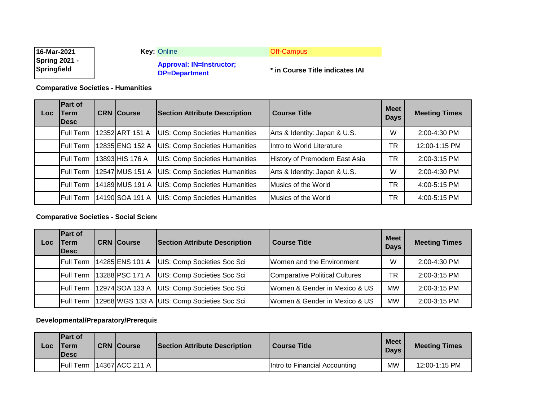| 16-Mar-2021                         | <b>Key: Online</b>                               | Off-Campus                      |
|-------------------------------------|--------------------------------------------------|---------------------------------|
| <b>Spring 2021 -</b><br>Springfield | <b>Approval: IN=Instructor;</b><br>DP=Department | * in Course Title indicates IAI |

**Comparative Societies - Humanities**

| Loc. | <b>Part of</b><br>Term<br><b>IDesc</b> | <b>CRN Course</b> | <b>Section Attribute Description</b>  | <b>Course Title</b>            | <b>Meet</b><br><b>Days</b> | <b>Meeting Times</b> |
|------|----------------------------------------|-------------------|---------------------------------------|--------------------------------|----------------------------|----------------------|
|      | <b>Full Term</b>                       | 12352 ART 151 A   | <b>UIS: Comp Societies Humanities</b> | Arts & Identity: Japan & U.S.  | W                          | 2:00-4:30 PM         |
|      | <b>Full Term</b>                       | 12835 ENG 152 A   | <b>UIS: Comp Societies Humanities</b> | Intro to World Literature      | TR                         | 12:00-1:15 PM        |
|      | <b>Full Term</b>                       | 13893 HIS 176 A   | <b>UIS: Comp Societies Humanities</b> | History of Premodern East Asia | <b>TR</b>                  | 2:00-3:15 PM         |
|      | <b>Full Term</b>                       | 12547 MUS 151 A   | <b>UIS: Comp Societies Humanities</b> | Arts & Identity: Japan & U.S.  | W                          | 2:00-4:30 PM         |
|      | <b>Full Term</b>                       | 14189 MUS 191 A   | <b>UIS: Comp Societies Humanities</b> | Musics of the World            | TR                         | 4:00-5:15 PM         |
|      | <b>Full Term</b>                       | 14190 SOA 191 A   | <b>UIS: Comp Societies Humanities</b> | Musics of the World            | TR                         | 4:00-5:15 PM         |

**Comparative Societies - Social Sciend** 

| Loc | <b>Part of</b><br><b>Term</b><br><b>IDesc</b> | <b>CRN Course</b> | <b>Section Attribute Description</b>          | <b>Course Title</b>                           | <b>Meet</b><br><b>Days</b> | <b>Meeting Times</b> |
|-----|-----------------------------------------------|-------------------|-----------------------------------------------|-----------------------------------------------|----------------------------|----------------------|
|     | <b>Full Term</b>                              | 14285 ENS 101 A   | UIS: Comp Societies Soc Sci                   | Women and the Environment                     | W                          | 2:00-4:30 PM         |
|     | <b>Full Term</b>                              | 13288 PSC 171 A   | UIS: Comp Societies Soc Sci                   | Comparative Political Cultures                | ΤR                         | 2:00-3:15 PM         |
|     | <b>Full Term</b>                              | 12974 SOA 133 A   | UIS: Comp Societies Soc Sci                   | Women & Gender in Mexico & US                 | MW                         | 2:00-3:15 PM         |
|     | <b>Full Term</b>                              |                   | 12968 WGS 133 A   UIS: Comp Societies Soc Sci | <b>IWomen &amp; Gender in Mexico &amp; US</b> | MW                         | 2:00-3:15 PM         |

# **Developmental/Preparatory/Prerequis**

| Loc | <b>IPart of</b><br>'Term<br><b>'Desc</b> | <b>CRN Course</b> | <b>Section Attribute Description</b> | <b>Course Title</b>           | <b>Meet</b><br><b>Davs</b> | <b>Meeting Times</b> |
|-----|------------------------------------------|-------------------|--------------------------------------|-------------------------------|----------------------------|----------------------|
|     | <b>Full Term</b>                         | 14367 ACC 211 A   |                                      | Intro to Financial Accounting | МW                         | 12:00-1:15 PM        |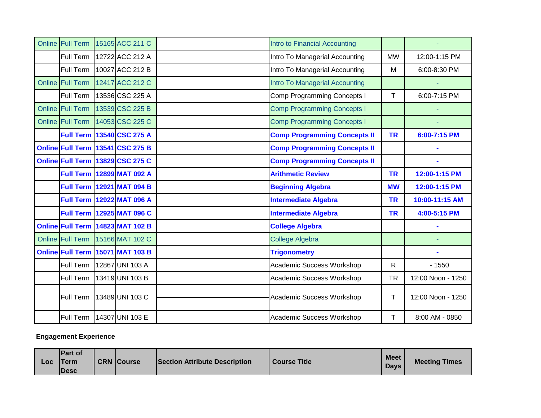| Online Full Term        | 15165 ACC 211 C                  | Intro to Financial Accounting       |           |                   |
|-------------------------|----------------------------------|-------------------------------------|-----------|-------------------|
| Full Term               | 12722 ACC 212 A                  | Intro To Managerial Accounting      | <b>MW</b> | 12:00-1:15 PM     |
| Full Term               | 10027 ACC 212 B                  | Intro To Managerial Accounting      | M         | 6:00-8:30 PM      |
| <b>Online Full Term</b> | 12417 ACC 212 C                  | Intro To Managerial Accounting      |           |                   |
| Full Term               | 13536 CSC 225 A                  | <b>Comp Programming Concepts I</b>  | T         | 6:00-7:15 PM      |
| Online Full Term        | 13539 CSC 225 B                  | <b>Comp Programming Concepts I</b>  |           |                   |
| Online Full Term        | 14053 CSC 225 C                  | <b>Comp Programming Concepts I</b>  |           |                   |
|                         | <b>Full Term 13540 CSC 275 A</b> | <b>Comp Programming Concepts II</b> | <b>TR</b> | 6:00-7:15 PM      |
|                         | Online Full Term 13541 CSC 275 B | <b>Comp Programming Concepts II</b> |           |                   |
|                         | Online Full Term 13829 CSC 275 C | <b>Comp Programming Concepts II</b> |           |                   |
|                         | <b>Full Term 12899 MAT 092 A</b> | <b>Arithmetic Review</b>            | <b>TR</b> | 12:00-1:15 PM     |
|                         | <b>Full Term 12921 MAT 094 B</b> | <b>Beginning Algebra</b>            | <b>MW</b> | 12:00-1:15 PM     |
|                         | <b>Full Term 12922 MAT 096 A</b> | <b>Intermediate Algebra</b>         | <b>TR</b> | 10:00-11:15 AM    |
|                         | Full Term 12925 MAT 096 C        | <b>Intermediate Algebra</b>         | <b>TR</b> | 4:00-5:15 PM      |
|                         | Online Full Term 14823 MAT 102 B | <b>College Algebra</b>              |           |                   |
| Online Full Term        | 15166 MAT 102 C                  | <b>College Algebra</b>              |           |                   |
|                         | Online Full Term 15071 MAT 103 B | <b>Trigonometry</b>                 |           |                   |
| Full Term               | 12867 UNI 103 A                  | Academic Success Workshop           | R         | $-1550$           |
| Full Term               | 13419 UNI 103 B                  | Academic Success Workshop           | <b>TR</b> | 12:00 Noon - 1250 |
| Full Term               | 13489 UNI 103 C                  | Academic Success Workshop           | T         | 12:00 Noon - 1250 |
| Full Term               | 14307 UNI 103 E                  | Academic Success Workshop           | T         | 8:00 AM - 0850    |

## **Engagement Experience**

| <b>IPart of</b><br>Meet  <br><b>CRN Course</b><br><b>Section Attribute Description</b><br><b>Course Title</b><br><b>ITerm</b><br>Loc<br><b>Days</b><br><b>IDesc</b> |  |  |  |  |  |  | <b>Meeting Times</b> |
|---------------------------------------------------------------------------------------------------------------------------------------------------------------------|--|--|--|--|--|--|----------------------|
|---------------------------------------------------------------------------------------------------------------------------------------------------------------------|--|--|--|--|--|--|----------------------|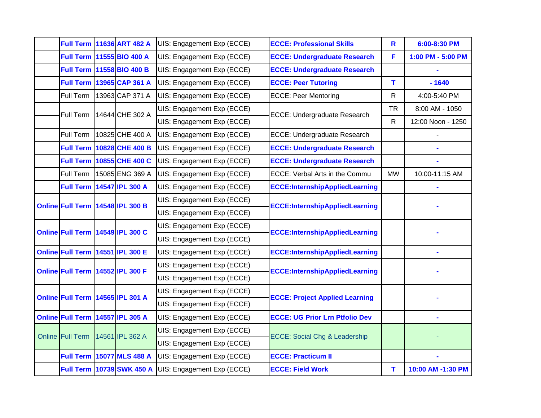|                                  | <b>Full Term 11636 ART 482 A</b> | UIS: Engagement Exp (ECCE) | <b>ECCE: Professional Skills</b>         | $\mathbf R$  | 6:00-8:30 PM      |
|----------------------------------|----------------------------------|----------------------------|------------------------------------------|--------------|-------------------|
|                                  | Full Term 11555 BIO 400 A        | UIS: Engagement Exp (ECCE) | <b>ECCE: Undergraduate Research</b>      | F            | 1:00 PM - 5:00 PM |
|                                  | Full Term 11558 BIO 400 B        | UIS: Engagement Exp (ECCE) | <b>ECCE: Undergraduate Research</b>      |              |                   |
|                                  | Full Term 13965 CAP 361 A        | UIS: Engagement Exp (ECCE) | <b>ECCE: Peer Tutoring</b>               | T            | $-1640$           |
| Full Term                        | 13963 CAP 371 A                  | UIS: Engagement Exp (ECCE) | <b>ECCE: Peer Mentoring</b>              | $\mathsf{R}$ | 4:00-5:40 PM      |
| Full Term                        | 14644 CHE 302 A                  | UIS: Engagement Exp (ECCE) | ECCE: Undergraduate Research             | <b>TR</b>    | 8:00 AM - 1050    |
|                                  |                                  | UIS: Engagement Exp (ECCE) |                                          |              | 12:00 Noon - 1250 |
| Full Term                        | 10825 CHE 400 A                  | UIS: Engagement Exp (ECCE) | ECCE: Undergraduate Research             |              |                   |
|                                  | Full Term   10828 CHE 400 B      | UIS: Engagement Exp (ECCE) | <b>ECCE: Undergraduate Research</b>      |              |                   |
|                                  | Full Term 10855 CHE 400 C        | UIS: Engagement Exp (ECCE) | <b>ECCE: Undergraduate Research</b>      |              |                   |
| Full Term                        | 15085 ENG 369 A                  | UIS: Engagement Exp (ECCE) | ECCE: Verbal Arts in the Commu           | <b>MW</b>    | 10:00-11:15 AM    |
| <b>Full Term</b>                 | 14547 IPL 300 A                  | UIS: Engagement Exp (ECCE) | <b>ECCE:InternshipAppliedLearning</b>    |              |                   |
|                                  |                                  | UIS: Engagement Exp (ECCE) | <b>ECCE:InternshipAppliedLearning</b>    |              |                   |
| Online Full Term 14548 IPL 300 B |                                  | UIS: Engagement Exp (ECCE) |                                          |              |                   |
|                                  | Online Full Term 14549 IPL 300 C | UIS: Engagement Exp (ECCE) | <b>ECCE:InternshipAppliedLearning</b>    |              |                   |
|                                  |                                  | UIS: Engagement Exp (ECCE) |                                          |              |                   |
| Online Full Term 14551 IPL 300 E |                                  | UIS: Engagement Exp (ECCE) | <b>ECCE:InternshipAppliedLearning</b>    |              |                   |
| Online Full Term 14552 IPL 300 F |                                  | UIS: Engagement Exp (ECCE) | <b>ECCE:InternshipAppliedLearning</b>    |              |                   |
|                                  |                                  | UIS: Engagement Exp (ECCE) |                                          |              |                   |
| Online Full Term 14565 IPL 301 A |                                  | UIS: Engagement Exp (ECCE) | <b>ECCE: Project Applied Learning</b>    |              |                   |
|                                  |                                  | UIS: Engagement Exp (ECCE) |                                          |              |                   |
| Online Full Term 14557 IPL 305 A |                                  | UIS: Engagement Exp (ECCE) | <b>ECCE: UG Prior Lrn Ptfolio Dev</b>    |              |                   |
| Online Full Term                 | 14561 IPL 362 A                  | UIS: Engagement Exp (ECCE) | <b>ECCE: Social Chg &amp; Leadership</b> |              |                   |
|                                  |                                  | UIS: Engagement Exp (ECCE) |                                          |              |                   |
|                                  | <b>Full Term 15077 MLS 488 A</b> | UIS: Engagement Exp (ECCE) | <b>ECCE: Practicum II</b>                |              |                   |
|                                  | <b>Full Term 10739 SWK 450 A</b> | UIS: Engagement Exp (ECCE) | <b>ECCE: Field Work</b>                  | T            | 10:00 AM -1:30 PM |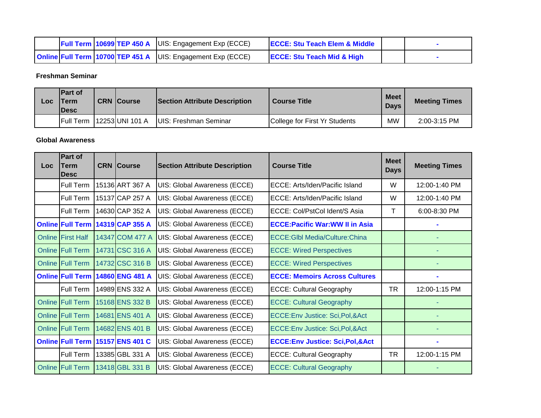|  |  | <b>Full Term 10699 TEP 450 A</b> $ U S$ : Engagement Exp (ECCE)    | <b>ECCE: Stu Teach Elem &amp; Middle</b> |  |
|--|--|--------------------------------------------------------------------|------------------------------------------|--|
|  |  | <b>Online Full Term 10700 TEP 451 A</b> UIS: Engagement Exp (ECCE) | <b>ECCE: Stu Teach Mid &amp; High</b>    |  |

**Freshman Seminar**

| Loc | <b>IPart of</b><br>lTerm<br><b>IDesc</b> | <b>CRN Course</b> | <b>Section Attribute Description</b> | <b>Course Title</b>           | <b>Meet</b><br><b>Days</b> | <b>Meeting Times</b> |
|-----|------------------------------------------|-------------------|--------------------------------------|-------------------------------|----------------------------|----------------------|
|     | <b>IFull Term</b>                        | 12253 UNI 101 A   | IUIS: Freshman Seminar               | College for First Yr Students | МW                         | 2:00-3:15 PM         |

#### **Global Awareness**

| Loc | <b>Part of</b><br><b>Term</b><br><b>IDesc</b> | <b>CRN</b> Course | <b>Section Attribute Description</b> | <b>Course Title</b>                          | <b>Meet</b><br><b>Days</b> | <b>Meeting Times</b> |
|-----|-----------------------------------------------|-------------------|--------------------------------------|----------------------------------------------|----------------------------|----------------------|
|     | Full Term                                     | 15136 ART 367 A   | UIS: Global Awareness (ECCE)         | ECCE: Arts/Iden/Pacific Island               | W                          | 12:00-1:40 PM        |
|     | Full Term                                     | 15137 CAP 257 A   | UIS: Global Awareness (ECCE)         | ECCE: Arts/Iden/Pacific Island               | W                          | 12:00-1:40 PM        |
|     | Full Term                                     | 14630 CAP 352 A   | UIS: Global Awareness (ECCE)         | ECCE: Col/PstCol Ident/S Asia                | т                          | 6:00-8:30 PM         |
|     | <b>Online Full Term</b>                       | 14319 CAP 355 A   | UIS: Global Awareness (ECCE)         | <b>ECCE: Pacific War: WW II in Asia</b>      |                            |                      |
|     | <b>Online First Half</b>                      | 14347 COM 477 A   | UIS: Global Awareness (ECCE)         | <b>ECCE:Glbl Media/Culture:China</b>         |                            |                      |
|     | Online Full Term                              | 14731 CSC 316 A   | UIS: Global Awareness (ECCE)         | <b>ECCE: Wired Perspectives</b>              |                            |                      |
|     | <b>Online Full Term</b>                       | 14732 CSC 316 B   | UIS: Global Awareness (ECCE)         | <b>ECCE: Wired Perspectives</b>              |                            |                      |
|     | <b>Online Full Term</b>                       | 14860 ENG 481 A   | UIS: Global Awareness (ECCE)         | <b>ECCE: Memoirs Across Cultures</b>         |                            |                      |
|     | Full Term                                     | 14989 ENS 332 A   | UIS: Global Awareness (ECCE)         | <b>ECCE: Cultural Geography</b>              | <b>TR</b>                  | 12:00-1:15 PM        |
|     | <b>Online Full Term</b>                       | 15168 ENS 332 B   | UIS: Global Awareness (ECCE)         | <b>ECCE: Cultural Geography</b>              |                            |                      |
|     | <b>Online Full Term</b>                       | 14681 ENS 401 A   | UIS: Global Awareness (ECCE)         | ECCE:Env Justice: Sci, Pol, & Act            |                            |                      |
|     | <b>Online Full Term</b>                       | 14682 ENS 401 B   | UIS: Global Awareness (ECCE)         | ECCE: Env Justice: Sci, Pol, & Act           |                            |                      |
|     | <b>Online Full Term</b>                       | 15157 ENS 401 C   | UIS: Global Awareness (ECCE)         | <b>ECCE:Env Justice: Sci, Pol, &amp; Act</b> |                            |                      |
|     | Full Term                                     | 13385 GBL 331 A   | UIS: Global Awareness (ECCE)         | <b>ECCE: Cultural Geography</b>              | <b>TR</b>                  | 12:00-1:15 PM        |
|     | Online Full Term                              | 13418 GBL 331 B   | UIS: Global Awareness (ECCE)         | <b>ECCE: Cultural Geography</b>              |                            |                      |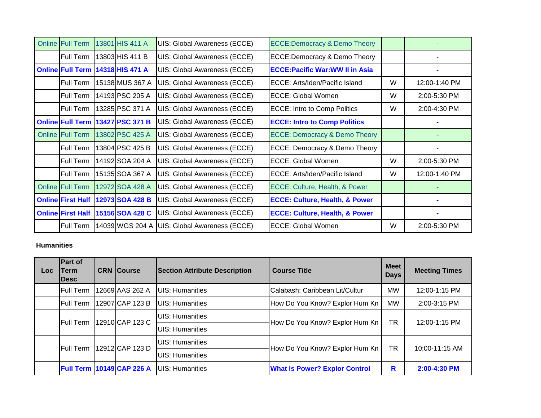| <b>Online Full Term</b>  | 13801 HIS 411 A                    | UIS: Global Awareness (ECCE)        | <b>ECCE:Democracy &amp; Demo Theory</b>   |   |               |
|--------------------------|------------------------------------|-------------------------------------|-------------------------------------------|---|---------------|
| Full Term                | 13803 HIS 411 B                    | UIS: Global Awareness (ECCE)        | <b>ECCE:Democracy &amp; Demo Theory</b>   |   |               |
|                          | Online Full Term   14318 HIS 471 A | UIS: Global Awareness (ECCE)        | <b>ECCE: Pacific War: WW II in Asia</b>   |   |               |
| Full Term                | 15138 MUS 367 A                    | UIS: Global Awareness (ECCE)        | ECCE: Arts/Iden/Pacific Island            | W | 12:00-1:40 PM |
| Full Term                | 14193 PSC 205 A                    | UIS: Global Awareness (ECCE)        | ECCE: Global Women                        | W | 2:00-5:30 PM  |
| Full Term                | 13285 PSC 371 A                    | <b>UIS: Global Awareness (ECCE)</b> | <b>ECCE: Intro to Comp Politics</b>       | W | 2:00-4:30 PM  |
| <b>Online Full Term</b>  | 13427 PSC 371 B                    | UIS: Global Awareness (ECCE)        | <b>ECCE: Intro to Comp Politics</b>       |   |               |
| <b>Online Full Term</b>  | 13802 PSC 425 A                    | UIS: Global Awareness (ECCE)        | <b>ECCE: Democracy &amp; Demo Theory</b>  |   |               |
| <b>Full Term</b>         | 13804 PSC 425 B                    | UIS: Global Awareness (ECCE)        | <b>ECCE: Democracy &amp; Demo Theory</b>  |   |               |
| Full Term                | 14192 SOA 204 A                    | UIS: Global Awareness (ECCE)        | <b>ECCE: Global Women</b>                 | W | 2:00-5:30 PM  |
| Full Term                | 15135 SOA 367 A                    | UIS: Global Awareness (ECCE)        | ECCE: Arts/Iden/Pacific Island            | W | 12:00-1:40 PM |
| <b>Online Full Term</b>  | 12972 SOA 428 A                    | <b>UIS: Global Awareness (ECCE)</b> | ECCE: Culture, Health, & Power            |   |               |
| <b>Online First Half</b> | 12973 SOA 428 B                    | <b>UIS: Global Awareness (ECCE)</b> | <b>ECCE: Culture, Health, &amp; Power</b> |   |               |
| <b>Online First Half</b> | 15156 SOA 428 C                    | UIS: Global Awareness (ECCE)        | <b>ECCE: Culture, Health, &amp; Power</b> |   |               |
| Full Term                | 14039 WGS 204 A                    | <b>UIS: Global Awareness (ECCE)</b> | <b>ECCE: Global Women</b>                 | W | 2:00-5:30 PM  |

### **Humanities**

| Loc. | Part of<br>Term<br><b>IDesc</b> |  | <b>CRN</b> Course                | <b>Section Attribute Description</b> | <b>Course Title</b>                  | <b>Meet</b><br><b>Days</b> | <b>Meeting Times</b>           |    |               |
|------|---------------------------------|--|----------------------------------|--------------------------------------|--------------------------------------|----------------------------|--------------------------------|----|---------------|
|      | <b>Full Term</b>                |  | 12669 AAS 262 A                  | <b>UIS: Humanities</b>               | Calabash: Caribbean Lit/Cultur       | MW                         | 12:00-1:15 PM                  |    |               |
|      | Full Term                       |  | 12907 CAP 123 B                  | <b>UIS: Humanities</b>               | How Do You Know? Explor Hum Kn       | <b>MW</b>                  | 2:00-3:15 PM                   |    |               |
|      | <b>IFull Term</b>               |  |                                  |                                      | 12910 CAP 123 C                      | <b>UIS: Humanities</b>     | How Do You Know? Explor Hum Kn | TR | 12:00-1:15 PM |
|      |                                 |  |                                  | UIS: Humanities                      |                                      |                            |                                |    |               |
|      | <b>IFull Term</b>               |  | 12912 CAP 123 D                  | UIS: Humanities                      | How Do You Know? Explor Hum Kn       | <b>TR</b>                  | 10:00-11:15 AM                 |    |               |
|      |                                 |  |                                  | UIS: Humanities                      |                                      |                            |                                |    |               |
|      |                                 |  | <b>Full Term 10149 CAP 226 A</b> | <b>UIS: Humanities</b>               | <b>What Is Power? Explor Control</b> | R                          | 2:00-4:30 PM                   |    |               |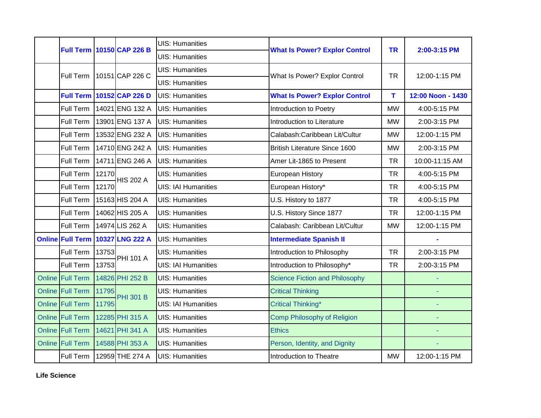|                  |       | <b>Full Term 10150 CAP 226 B</b> | <b>UIS: Humanities</b>     | <b>What Is Power? Explor Control</b>  | <b>TR</b> | 2:00-3:15 PM      |
|------------------|-------|----------------------------------|----------------------------|---------------------------------------|-----------|-------------------|
|                  |       |                                  | <b>UIS: Humanities</b>     |                                       |           |                   |
| Full Term        |       | 10151 CAP 226 C                  | <b>UIS: Humanities</b>     | What Is Power? Explor Control         | <b>TR</b> | 12:00-1:15 PM     |
|                  |       |                                  | <b>UIS: Humanities</b>     |                                       |           |                   |
|                  |       | <b>Full Term 10152 CAP 226 D</b> | <b>UIS: Humanities</b>     | <b>What Is Power? Explor Control</b>  | T.        | 12:00 Noon - 1430 |
| Full Term        |       | 14021 ENG 132 A                  | <b>UIS: Humanities</b>     | Introduction to Poetry                | <b>MW</b> | 4:00-5:15 PM      |
| Full Term        |       | 13901 ENG 137 A                  | <b>UIS: Humanities</b>     | Introduction to Literature            | <b>MW</b> | 2:00-3:15 PM      |
| Full Term        |       | 13532 ENG 232 A                  | <b>UIS: Humanities</b>     | Calabash:Caribbean Lit/Cultur         | <b>MW</b> | 12:00-1:15 PM     |
| Full Term        |       | 14710 ENG 242 A                  | <b>UIS: Humanities</b>     | <b>British Literature Since 1600</b>  | <b>MW</b> | 2:00-3:15 PM      |
| Full Term        |       | 14711 ENG 246 A                  | <b>UIS: Humanities</b>     | Amer Lit-1865 to Present              | <b>TR</b> | 10:00-11:15 AM    |
| Full Term        | 12170 | <b>HIS 202 A</b>                 | <b>UIS: Humanities</b>     | European History                      | <b>TR</b> | 4:00-5:15 PM      |
| Full Term        | 12170 |                                  | <b>UIS: IAI Humanities</b> | European History*                     | <b>TR</b> | 4:00-5:15 PM      |
| Full Term        |       | 15163 HIS 204 A                  | <b>UIS: Humanities</b>     | U.S. History to 1877                  | <b>TR</b> | 4:00-5:15 PM      |
| Full Term        |       | 14062 HIS 205 A                  | <b>UIS: Humanities</b>     | U.S. History Since 1877               | <b>TR</b> | 12:00-1:15 PM     |
| Full Term        |       | 14974 LIS 262 A                  | <b>UIS: Humanities</b>     | Calabash: Caribbean Lit/Cultur        | <b>MW</b> | 12:00-1:15 PM     |
|                  |       | Online Full Term 10327 LNG 222 A | <b>UIS: Humanities</b>     | <b>Intermediate Spanish II</b>        |           |                   |
| Full Term        | 13753 | <b>PHI 101 A</b>                 | <b>UIS: Humanities</b>     | Introduction to Philosophy            | <b>TR</b> | 2:00-3:15 PM      |
| Full Term        | 13753 |                                  | <b>UIS: IAI Humanities</b> | Introduction to Philosophy*           | <b>TR</b> | 2:00-3:15 PM      |
| Online Full Term |       | 14826 PHI 252 B                  | <b>UIS: Humanities</b>     | <b>Science Fiction and Philosophy</b> |           |                   |
| Online Full Term | 11795 | <b>PHI 301 B</b>                 | <b>UIS: Humanities</b>     | <b>Critical Thinking</b>              |           | ä,                |
| Online Full Term | 11795 |                                  | <b>UIS: IAI Humanities</b> | <b>Critical Thinking*</b>             |           |                   |
| Online Full Term |       | 12285 PHI 315 A                  | <b>UIS: Humanities</b>     | <b>Comp Philosophy of Religion</b>    |           | $\equiv$          |
| Online Full Term |       | 14621 PHI 341 A                  | <b>UIS: Humanities</b>     | <b>Ethics</b>                         |           |                   |
| Online Full Term |       | 14588 PHI 353 A                  | <b>UIS: Humanities</b>     | Person, Identity, and Dignity         |           |                   |
| Full Term        |       | 12959 THE 274 A                  | <b>UIS: Humanities</b>     | Introduction to Theatre               | <b>MW</b> | 12:00-1:15 PM     |

**Life Science**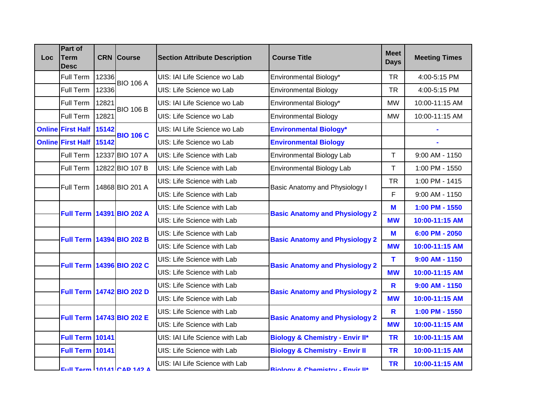| <b>Loc</b> | Part of<br><b>Term</b><br><b>Desc</b> |       | <b>CRN</b> Course         | <b>Section Attribute Description</b> | <b>Course Title</b>                        | <b>Meet</b><br><b>Days</b> | <b>Meeting Times</b> |
|------------|---------------------------------------|-------|---------------------------|--------------------------------------|--------------------------------------------|----------------------------|----------------------|
|            | Full Term                             | 12336 | <b>BIO 106 A</b>          | UIS: IAI Life Science wo Lab         | Environmental Biology*                     | <b>TR</b>                  | 4:00-5:15 PM         |
|            | Full Term                             | 12336 |                           | UIS: Life Science wo Lab             | <b>Environmental Biology</b>               | <b>TR</b>                  | 4:00-5:15 PM         |
|            | Full Term                             | 12821 | <b>BIO 106 B</b>          | UIS: IAI Life Science wo Lab         | Environmental Biology*                     | <b>MW</b>                  | 10:00-11:15 AM       |
|            | Full Term                             | 12821 |                           | UIS: Life Science wo Lab             | <b>Environmental Biology</b>               | <b>MW</b>                  | 10:00-11:15 AM       |
|            | <b>Online First Half</b>              | 15142 | <b>BIO 106 C</b>          | UIS: IAI Life Science wo Lab         | <b>Environmental Biology*</b>              |                            |                      |
|            | <b>Online First Half</b>              | 15142 |                           | UIS: Life Science wo Lab             | <b>Environmental Biology</b>               |                            |                      |
|            | Full Term                             |       | 12337 BIO 107 A           | UIS: Life Science with Lab           | <b>Environmental Biology Lab</b>           | T                          | 9:00 AM - 1150       |
|            | Full Term                             |       | 12822 BIO 107 B           | UIS: Life Science with Lab           | <b>Environmental Biology Lab</b>           | Τ                          | 1:00 PM - 1550       |
|            | Full Term                             |       | 14868 BIO 201 A           | UIS: Life Science with Lab           | Basic Anatomy and Physiology I             | <b>TR</b>                  | 1:00 PM - 1415       |
|            |                                       |       |                           | UIS: Life Science with Lab           |                                            | F                          | 9:00 AM - 1150       |
|            | <b>Full Term</b>                      |       | 14391 BIO 202 A           | UIS: Life Science with Lab           | <b>Basic Anatomy and Physiology 2</b>      | M                          | 1:00 PM - 1550       |
|            |                                       |       |                           | UIS: Life Science with Lab           |                                            | <b>MW</b>                  | 10:00-11:15 AM       |
|            | <b>Full Term</b>                      |       | 14394 BIO 202 B           | UIS: Life Science with Lab           |                                            | M                          | 6:00 PM - 2050       |
|            |                                       |       |                           | UIS: Life Science with Lab           | <b>Basic Anatomy and Physiology 2</b>      | <b>MW</b>                  | 10:00-11:15 AM       |
|            | <b>Full Term</b>                      |       | 14396 BIO 202 C           | UIS: Life Science with Lab           | <b>Basic Anatomy and Physiology 2</b>      | т                          | $9:00$ AM - 1150     |
|            |                                       |       |                           | UIS: Life Science with Lab           |                                            | <b>MW</b>                  | 10:00-11:15 AM       |
|            |                                       |       | Full Term 14742 BIO 202 D | UIS: Life Science with Lab           | <b>Basic Anatomy and Physiology 2</b>      | $\mathbf R$                | $9:00$ AM - 1150     |
|            |                                       |       |                           | UIS: Life Science with Lab           |                                            | <b>MW</b>                  | 10:00-11:15 AM       |
|            |                                       |       | Full Term 14743 BIO 202 E | UIS: Life Science with Lab           | <b>Basic Anatomy and Physiology 2</b>      | $\mathbf R$                | 1:00 PM - 1550       |
|            |                                       |       |                           | UIS: Life Science with Lab           |                                            | <b>MW</b>                  | 10:00-11:15 AM       |
|            | <b>Full Term 10141</b>                |       |                           | UIS: IAI Life Science with Lab       | <b>Biology &amp; Chemistry - Envir II*</b> | <b>TR</b>                  | 10:00-11:15 AM       |
|            | <b>Full Term 10141</b>                |       |                           | UIS: Life Science with Lab           | <b>Biology &amp; Chemistry - Envir II</b>  | <b>TR</b>                  | 10:00-11:15 AM       |
|            |                                       |       | Full Torm 10141 CAD 142 A | UIS: IAI Life Science with Lab       | Riology & Chamietry - Envir II*            | <b>TR</b>                  | 10:00-11:15 AM       |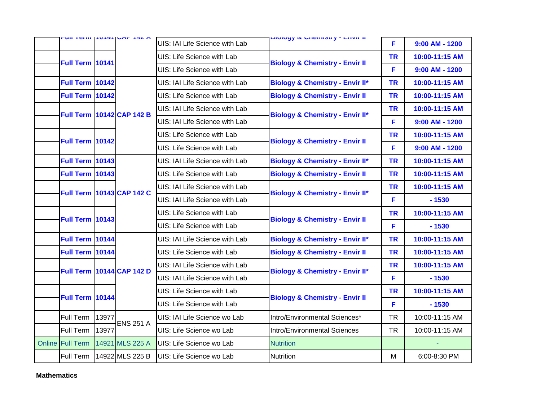|                         |       | UILICIIII IVITIUME ITAM          | UIS: IAI Life Science with Lab                                                                                   | <b>DIVIVYY &amp; VIICHIIOUY - LITVIE II</b> | F              | $9:00$ AM - 1200 |
|-------------------------|-------|----------------------------------|------------------------------------------------------------------------------------------------------------------|---------------------------------------------|----------------|------------------|
| <b>Full Term 10141</b>  |       |                                  | UIS: Life Science with Lab                                                                                       | <b>Biology &amp; Chemistry - Envir II</b>   | <b>TR</b>      | 10:00-11:15 AM   |
|                         |       |                                  | UIS: Life Science with Lab                                                                                       |                                             | F              | $9:00$ AM - 1200 |
| <b>Full Term 10142</b>  |       |                                  | UIS: IAI Life Science with Lab                                                                                   | <b>Biology &amp; Chemistry - Envir II*</b>  | <b>TR</b>      | 10:00-11:15 AM   |
| <b>Full Term 10142</b>  |       | <b>Full Term 10142 CAP 142 B</b> | UIS: Life Science with Lab                                                                                       | <b>Biology &amp; Chemistry - Envir II</b>   | <b>TR</b>      | 10:00-11:15 AM   |
|                         |       |                                  | UIS: IAI Life Science with Lab                                                                                   |                                             | <b>TR</b>      | 10:00-11:15 AM   |
|                         |       |                                  | UIS: IAI Life Science with Lab                                                                                   | <b>Biology &amp; Chemistry - Envir II*</b>  | F              | $9:00$ AM - 1200 |
| Full Term 10142         |       |                                  | UIS: Life Science with Lab                                                                                       | <b>Biology &amp; Chemistry - Envir II</b>   | <b>TR</b>      | 10:00-11:15 AM   |
|                         |       |                                  | UIS: Life Science with Lab                                                                                       |                                             | F              | $9:00$ AM - 1200 |
| <b>Full Term 10143</b>  |       |                                  | UIS: IAI Life Science with Lab                                                                                   | <b>Biology &amp; Chemistry - Envir II*</b>  | <b>TR</b>      | 10:00-11:15 AM   |
| <b>Full Term 10143</b>  |       |                                  | UIS: Life Science with Lab                                                                                       | <b>Biology &amp; Chemistry - Envir II</b>   | <b>TR</b>      | 10:00-11:15 AM   |
|                         |       |                                  | UIS: IAI Life Science with Lab<br><b>Full Term 10143 CAP 142 C</b><br><b>Biology &amp; Chemistry - Envir II*</b> | <b>TR</b>                                   | 10:00-11:15 AM |                  |
|                         |       |                                  | UIS: IAI Life Science with Lab                                                                                   |                                             | F              | $-1530$          |
| <b>Full Term 10143</b>  |       |                                  | UIS: Life Science with Lab                                                                                       | <b>Biology &amp; Chemistry - Envir II</b>   | <b>TR</b>      | 10:00-11:15 AM   |
|                         |       |                                  | UIS: Life Science with Lab                                                                                       |                                             | F              | $-1530$          |
| Full Term 10144         |       |                                  | UIS: IAI Life Science with Lab                                                                                   | <b>Biology &amp; Chemistry - Envir II*</b>  | <b>TR</b>      | 10:00-11:15 AM   |
| Full Term 10144         |       |                                  | UIS: Life Science with Lab                                                                                       | <b>Biology &amp; Chemistry - Envir II</b>   | <b>TR</b>      | 10:00-11:15 AM   |
|                         |       | <b>Full Term 10144 CAP 142 D</b> | UIS: IAI Life Science with Lab                                                                                   | <b>Biology &amp; Chemistry - Envir II*</b>  | <b>TR</b>      | 10:00-11:15 AM   |
|                         |       |                                  | UIS: IAI Life Science with Lab                                                                                   |                                             | F              | $-1530$          |
| Full Term 10144         |       |                                  | UIS: Life Science with Lab                                                                                       | <b>Biology &amp; Chemistry - Envir II</b>   | <b>TR</b>      | 10:00-11:15 AM   |
|                         |       |                                  | UIS: Life Science with Lab                                                                                       |                                             | F              | $-1530$          |
| Full Term               | 13977 | <b>ENS 251 A</b>                 | UIS: IAI Life Science wo Lab                                                                                     | Intro/Environmental Sciences*               | <b>TR</b>      | 10:00-11:15 AM   |
| Full Term               | 13977 |                                  | UIS: Life Science wo Lab                                                                                         | Intro/Environmental Sciences                | <b>TR</b>      | 10:00-11:15 AM   |
| <b>Online Full Term</b> |       | 14921 MLS 225 A                  | UIS: Life Science wo Lab                                                                                         | <b>Nutrition</b>                            |                |                  |
| Full Term               |       | 14922 MLS 225 B                  | UIS: Life Science wo Lab                                                                                         | <b>Nutrition</b>                            | M              | 6:00-8:30 PM     |

**Mathematics**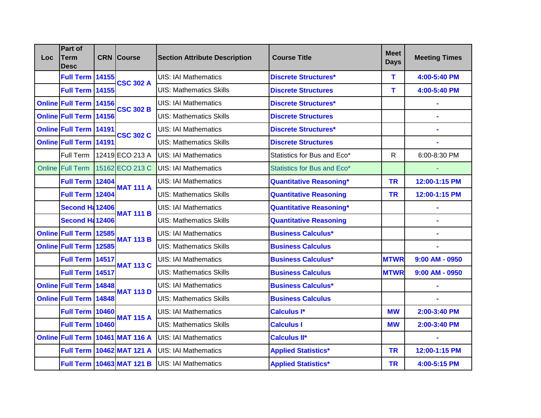| Loc | Part of<br>Term<br>Desc       |  | <b>CRN</b> Course                | <b>Section Attribute Description</b> | <b>Course Title</b>            | <b>Meet</b><br><b>Days</b> | <b>Meeting Times</b> |
|-----|-------------------------------|--|----------------------------------|--------------------------------------|--------------------------------|----------------------------|----------------------|
|     | <b>Full Term 14155</b>        |  | <b>CSC 302 A</b>                 | <b>UIS: IAI Mathematics</b>          | <b>Discrete Structures*</b>    | т                          | 4:00-5:40 PM         |
|     | <b>Full Term 14155</b>        |  |                                  | <b>UIS: Mathematics Skills</b>       | <b>Discrete Structures</b>     | т                          | 4:00-5:40 PM         |
|     | <b>Online Full Term 14156</b> |  | <b>CSC 302 B</b>                 | <b>UIS: IAI Mathematics</b>          | <b>Discrete Structures*</b>    |                            |                      |
|     | <b>Online Full Term 14156</b> |  |                                  | <b>UIS: Mathematics Skills</b>       | <b>Discrete Structures</b>     |                            |                      |
|     | Online Full Term 14191        |  | <b>CSC 302 C</b>                 | <b>UIS: IAI Mathematics</b>          | <b>Discrete Structures*</b>    |                            |                      |
|     | <b>Online Full Term 14191</b> |  |                                  | <b>UIS: Mathematics Skills</b>       | <b>Discrete Structures</b>     |                            |                      |
|     | Full Term                     |  | 12419 ECO 213 A                  | <b>UIS: IAI Mathematics</b>          | Statistics for Bus and Eco*    | R                          | 6:00-8:30 PM         |
|     | <b>Online Full Term</b>       |  | 15162 ECO 213 C                  | <b>UIS: IAI Mathematics</b>          | Statistics for Bus and Eco*    |                            |                      |
|     | <b>Full Term 12404</b>        |  | <b>MAT 111 A</b>                 | <b>UIS: IAI Mathematics</b>          | <b>Quantitative Reasoning*</b> | <b>TR</b>                  | 12:00-1:15 PM        |
|     | <b>Full Term 12404</b>        |  |                                  | <b>UIS: Mathematics Skills</b>       | <b>Quantitative Reasoning</b>  | <b>TR</b>                  | 12:00-1:15 PM        |
|     | <b>Second Ha12406</b>         |  | <b>MAT 111 B</b>                 | <b>UIS: IAI Mathematics</b>          | <b>Quantitative Reasoning*</b> |                            |                      |
|     | <b>Second H: 12406</b>        |  |                                  | <b>UIS: Mathematics Skills</b>       | <b>Quantitative Reasoning</b>  |                            |                      |
|     | Online Full Term 12585        |  | <b>MAT 113 B</b>                 | <b>UIS: IAI Mathematics</b>          | <b>Business Calculus*</b>      |                            |                      |
|     | Online Full Term 12585        |  |                                  | <b>UIS: Mathematics Skills</b>       | <b>Business Calculus</b>       |                            |                      |
|     | Full Term 14517               |  | <b>MAT 113 C</b>                 | <b>UIS: IAI Mathematics</b>          | <b>Business Calculus*</b>      | <b>MTWR</b>                | $9:00$ AM - 0950     |
|     | <b>Full Term 14517</b>        |  |                                  | <b>UIS: Mathematics Skills</b>       | <b>Business Calculus</b>       | <b>MTWR</b>                | $9:00$ AM - 0950     |
|     | Online Full Term 14848        |  | <b>MAT 113 D</b>                 | <b>UIS: IAI Mathematics</b>          | <b>Business Calculus*</b>      |                            | ÷                    |
|     | Online Full Term 14848        |  |                                  | <b>UIS: Mathematics Skills</b>       | <b>Business Calculus</b>       |                            |                      |
|     | <b>Full Term 10460</b>        |  | <b>MAT 115 A</b>                 | <b>UIS: IAI Mathematics</b>          | <b>Calculus I*</b>             | <b>MW</b>                  | 2:00-3:40 PM         |
|     | <b>Full Term 10460</b>        |  |                                  | <b>UIS: Mathematics Skills</b>       | <b>Calculus I</b>              | <b>MW</b>                  | 2:00-3:40 PM         |
|     |                               |  | Online Full Term 10461 MAT 116 A | <b>UIS: IAI Mathematics</b>          | <b>Calculus II*</b>            |                            |                      |
|     |                               |  | Full Term 10462 MAT 121 A        | <b>UIS: IAI Mathematics</b>          | <b>Applied Statistics*</b>     | <b>TR</b>                  | 12:00-1:15 PM        |
|     |                               |  | Full Term   10463 MAT 121 B      | <b>UIS: IAI Mathematics</b>          | <b>Applied Statistics*</b>     | <b>TR</b>                  | 4:00-5:15 PM         |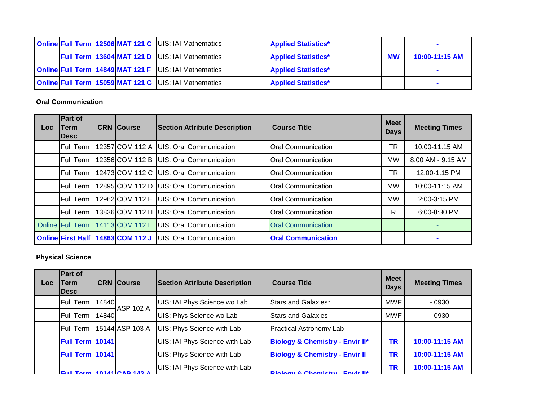|  |  | <b>Online Full Term 12506 MAT 121 C UIS: IAI Mathematics</b> | <b>Applied Statistics*</b> |           |                |
|--|--|--------------------------------------------------------------|----------------------------|-----------|----------------|
|  |  | <b>Full Term 13604 MAT 121 D UIS: IAI Mathematics</b>        | <b>Applied Statistics*</b> | <b>MW</b> | 10:00-11:15 AM |
|  |  | <b>Online Full Term 14849 MAT 121 F UIS: IAI Mathematics</b> | <b>Applied Statistics*</b> |           |                |
|  |  | <b>Online Full Term 15059 MAT 121 G UIS: IAI Mathematics</b> | <b>Applied Statistics*</b> |           |                |

#### **Oral Communication**

| Loc | Part of<br>Term<br><b>Desc</b> | <b>CRN Course</b> | <b>Section Attribute Description</b> | <b>Course Title</b>       | <b>Meet</b><br><b>Days</b> | <b>Meeting Times</b> |
|-----|--------------------------------|-------------------|--------------------------------------|---------------------------|----------------------------|----------------------|
|     | Full Term                      | 12357ICOM 112 A   | <b>IUIS: Oral Communication</b>      | <b>Oral Communication</b> | ΤR                         | 10:00-11:15 AM       |
|     | <b>Full Term</b>               | 12356 COM 112 B   | UIS: Oral Communication              | <b>Oral Communication</b> | <b>MW</b>                  | 8:00 AM - 9:15 AM    |
|     | Full Term                      | 12473 COM 112 C   | <b>IUIS: Oral Communication</b>      | Oral Communication        | ТR                         | 12:00-1:15 PM        |
|     | <b>Full Term</b>               | 12895ICOM 112 D   | <b>IUIS: Oral Communication</b>      | <b>Oral Communication</b> | <b>MW</b>                  | 10:00-11:15 AM       |
|     | <b>Full Term</b>               | 12962 COM 112 E   | <b>UIS: Oral Communication</b>       | <b>Oral Communication</b> | <b>MW</b>                  | 2:00-3:15 PM         |
|     | Full Term                      | 13836 COM 112 H   | <b>IUIS: Oral Communication</b>      | Oral Communication        | R                          | 6:00-8:30 PM         |
|     | <b>Online Full Term</b>        | 14113 COM 112 I   | UIS: Oral Communication              | <b>Oral Communication</b> |                            |                      |
|     | <b>Online First Half</b>       | 14863 COM 112 J   | <b>IUIS: Oral Communication</b>      | <b>Oral Communication</b> |                            |                      |

### **Physical Science**

| Loc | <b>Part of</b><br>Term<br><b>IDesc</b> |                                   | <b>CRN</b> Course | <b>Section Attribute Description</b> | <b>Course Title</b>                        | <b>Meet</b><br><b>Days</b> | <b>Meeting Times</b> |
|-----|----------------------------------------|-----------------------------------|-------------------|--------------------------------------|--------------------------------------------|----------------------------|----------------------|
|     | <b>Full Term</b>                       | 14840                             | <b>ASP 102 A</b>  | UIS: IAI Phys Science wo Lab         | Stars and Galaxies*                        | <b>MWF</b>                 | - 0930               |
|     | <b>Full Term</b>                       | 14840                             |                   | UIS: Phys Science wo Lab             | <b>Stars and Galaxies</b>                  | <b>MWF</b>                 | $-0930$              |
|     | <b>Full Term</b>                       |                                   | 15144 ASP 103 A   | UIS: Phys Science with Lab           | <b>Practical Astronomy Lab</b>             |                            |                      |
|     | <b>Full Term 10141</b>                 |                                   |                   | UIS: IAI Phys Science with Lab       | <b>Biology &amp; Chemistry - Envir II*</b> | <b>TR</b>                  | 10:00-11:15 AM       |
|     | Full Term 10141                        |                                   |                   | UIS: Phys Science with Lab           | <b>Biology &amp; Chemistry - Envir II</b>  | <b>TR</b>                  | 10:00-11:15 AM       |
|     |                                        | $\text{Eul}$ Torm 10141 CAD 142 A |                   | UIS: IAI Phys Science with Lab       | <b>Riology &amp; Chamietry - Envir II*</b> | <b>TR</b>                  | 10:00-11:15 AM       |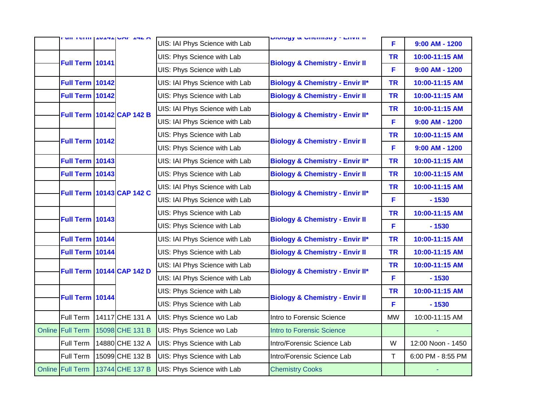|                         | <b>UILICIIII IVITIUME ITAM</b> |                                  | UIS: IAI Phys Science with Lab                                                                            | וו וועוום די עונסווווסטוע <mark>שטעונט</mark> | F              | $9:00$ AM - 1200  |
|-------------------------|--------------------------------|----------------------------------|-----------------------------------------------------------------------------------------------------------|-----------------------------------------------|----------------|-------------------|
|                         |                                |                                  | UIS: Phys Science with Lab                                                                                |                                               | <b>TR</b>      | 10:00-11:15 AM    |
| <b>Full Term 10141</b>  |                                |                                  | UIS: Phys Science with Lab                                                                                | <b>Biology &amp; Chemistry - Envir II</b>     | F              | $9:00$ AM - 1200  |
| <b>Full Term 10142</b>  |                                |                                  | UIS: IAI Phys Science with Lab                                                                            | <b>Biology &amp; Chemistry - Envir II*</b>    | <b>TR</b>      | 10:00-11:15 AM    |
| <b>Full Term 10142</b>  |                                |                                  | UIS: Phys Science with Lab                                                                                | <b>Biology &amp; Chemistry - Envir II</b>     | <b>TR</b>      | 10:00-11:15 AM    |
|                         |                                |                                  | UIS: IAI Phys Science with Lab                                                                            |                                               | <b>TR</b>      | 10:00-11:15 AM    |
|                         |                                | <b>Full Term 10142 CAP 142 B</b> | UIS: IAI Phys Science with Lab                                                                            | <b>Biology &amp; Chemistry - Envir II*</b>    | F              | $9:00$ AM - 1200  |
|                         |                                |                                  | UIS: Phys Science with Lab                                                                                |                                               | <b>TR</b>      | 10:00-11:15 AM    |
| <b>Full Term 10142</b>  |                                |                                  | UIS: Phys Science with Lab                                                                                | <b>Biology &amp; Chemistry - Envir II</b>     | F              | $9:00$ AM - 1200  |
| <b>Full Term 10143</b>  |                                |                                  | UIS: IAI Phys Science with Lab                                                                            | <b>Biology &amp; Chemistry - Envir II*</b>    | <b>TR</b>      | 10:00-11:15 AM    |
| <b>Full Term 10143</b>  |                                |                                  | UIS: Phys Science with Lab                                                                                | <b>Biology &amp; Chemistry - Envir II</b>     | <b>TR</b>      | 10:00-11:15 AM    |
|                         |                                | Full Term 10143 CAP 142 C        | UIS: IAI Phys Science with Lab                                                                            | <b>Biology &amp; Chemistry - Envir II*</b>    | <b>TR</b>      | 10:00-11:15 AM    |
|                         |                                |                                  | UIS: IAI Phys Science with Lab<br>UIS: Phys Science with Lab<br><b>Biology &amp; Chemistry - Envir II</b> |                                               | F              | $-1530$           |
| <b>Full Term 10143</b>  |                                |                                  |                                                                                                           | <b>TR</b>                                     | 10:00-11:15 AM |                   |
|                         |                                |                                  | UIS: Phys Science with Lab                                                                                |                                               | F              | $-1530$           |
| <b>Full Term 10144</b>  |                                |                                  | UIS: IAI Phys Science with Lab                                                                            | <b>Biology &amp; Chemistry - Envir II*</b>    | <b>TR</b>      | 10:00-11:15 AM    |
| Full Term 10144         |                                |                                  | UIS: Phys Science with Lab                                                                                | <b>Biology &amp; Chemistry - Envir II</b>     | <b>TR</b>      | 10:00-11:15 AM    |
|                         |                                | <b>Full Term 10144 CAP 142 D</b> | UIS: IAI Phys Science with Lab                                                                            | <b>Biology &amp; Chemistry - Envir II*</b>    | <b>TR</b>      | 10:00-11:15 AM    |
|                         |                                |                                  | UIS: IAI Phys Science with Lab                                                                            |                                               | F              | $-1530$           |
| <b>Full Term 10144</b>  |                                |                                  | UIS: Phys Science with Lab                                                                                | <b>Biology &amp; Chemistry - Envir II</b>     | <b>TR</b>      | 10:00-11:15 AM    |
|                         |                                |                                  | UIS: Phys Science with Lab                                                                                |                                               | F              | $-1530$           |
| Full Term               |                                | 14117 CHE 131 A                  | UIS: Phys Science wo Lab                                                                                  | Intro to Forensic Science                     | <b>MW</b>      | 10:00-11:15 AM    |
| <b>Online Full Term</b> |                                | 15098 CHE 131 B                  | UIS: Phys Science wo Lab                                                                                  | <b>Intro to Forensic Science</b>              |                |                   |
| Full Term               |                                | 14880 CHE 132 A                  | UIS: Phys Science with Lab                                                                                | Intro/Forensic Science Lab                    | W              | 12:00 Noon - 1450 |
| Full Term               |                                | 15099 CHE 132 B                  | UIS: Phys Science with Lab                                                                                | Intro/Forensic Science Lab                    | T              | 6:00 PM - 8:55 PM |
| Online Full Term        |                                | 13744 CHE 137 B                  | UIS: Phys Science with Lab                                                                                | <b>Chemistry Cooks</b>                        |                |                   |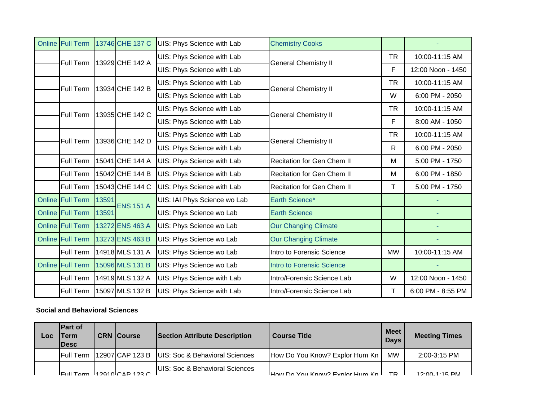| <b>Online Full Term</b> |       | 13746 CHE 137 C  | UIS: Phys Science with Lab   | <b>Chemistry Cooks</b>            |           |                   |
|-------------------------|-------|------------------|------------------------------|-----------------------------------|-----------|-------------------|
| Full Term               |       | 13929 CHE 142 A  | UIS: Phys Science with Lab   | <b>General Chemistry II</b>       | <b>TR</b> | 10:00-11:15 AM    |
|                         |       |                  | UIS: Phys Science with Lab   |                                   | F         | 12:00 Noon - 1450 |
| <b>Full Term</b>        |       | 13934 CHE 142 B  | UIS: Phys Science with Lab   | <b>General Chemistry II</b>       | <b>TR</b> | 10:00-11:15 AM    |
|                         |       |                  | UIS: Phys Science with Lab   |                                   | W         | 6:00 PM - 2050    |
| <b>Full Term</b>        |       | 13935 CHE 142 C  | UIS: Phys Science with Lab   | <b>General Chemistry II</b>       | <b>TR</b> | 10:00-11:15 AM    |
|                         |       |                  | UIS: Phys Science with Lab   |                                   | F         | 8:00 AM - 1050    |
| <b>Full Term</b>        |       | 13936 CHE 142 D  | UIS: Phys Science with Lab   | <b>General Chemistry II</b>       | <b>TR</b> | 10:00-11:15 AM    |
|                         |       |                  | UIS: Phys Science with Lab   |                                   | R         | 6:00 PM - 2050    |
| Full Term               |       | 15041 CHE 144 A  | UIS: Phys Science with Lab   | <b>Recitation for Gen Chem II</b> | м         | 5:00 PM - 1750    |
| Full Term               |       | 15042 CHE 144 B  | UIS: Phys Science with Lab   | Recitation for Gen Chem II        | M         | 6:00 PM - 1850    |
| Full Term               |       | 15043 CHE 144 C  | UIS: Phys Science with Lab   | Recitation for Gen Chem II        | т         | 5:00 PM - 1750    |
| Online Full Term        | 13591 | <b>ENS 151 A</b> | UIS: IAI Phys Science wo Lab | Earth Science*                    |           |                   |
| Online Full Term        | 13591 |                  | UIS: Phys Science wo Lab     | <b>Earth Science</b>              |           |                   |
| <b>Online Full Term</b> |       | 13272 ENS 463 A  | UIS: Phys Science wo Lab     | <b>Our Changing Climate</b>       |           |                   |
| <b>Online Full Term</b> |       | 13273 ENS 463 B  | UIS: Phys Science wo Lab     | <b>Our Changing Climate</b>       |           |                   |
| Full Term               |       | 14918 MLS 131 A  | UIS: Phys Science wo Lab     | Intro to Forensic Science         | <b>MW</b> | 10:00-11:15 AM    |
| <b>Online Full Term</b> |       | 15096 MLS 131 B  | UIS: Phys Science wo Lab     | <b>Intro to Forensic Science</b>  |           |                   |
| Full Term               |       | 14919 MLS 132 A  | UIS: Phys Science with Lab   | Intro/Forensic Science Lab        | W         | 12:00 Noon - 1450 |
| Full Term               |       | 15097 MLS 132 B  | UIS: Phys Science with Lab   | Intro/Forensic Science Lab        | T         | 6:00 PM - 8:55 PM |

# **Social and Behavioral Sciences**

| Loc | <b>IPart of</b><br>Term<br><b>IDesc</b> | <b>CRN Course</b>                     | <b>Section Attribute Description</b> | <b>Course Title</b>                | Meet I<br><b>Days</b> | <b>Meeting Times</b> |
|-----|-----------------------------------------|---------------------------------------|--------------------------------------|------------------------------------|-----------------------|----------------------|
|     | <b>IFull Term</b>                       | [12907]CAP 123 B                      | UIS: Soc & Behavioral Sciences       | How Do You Know? Explor Hum Kn     | MW                    | 2:00-3:15 PM         |
|     |                                         | $I$ Full Tarm $I$ 12010 $I$ CAP 123 C | UIS: Soc & Behavioral Sciences       | - How Do You Know? Evolor Hum Kn L | ТÞ                    | $12.00 - 1.15$ DM    |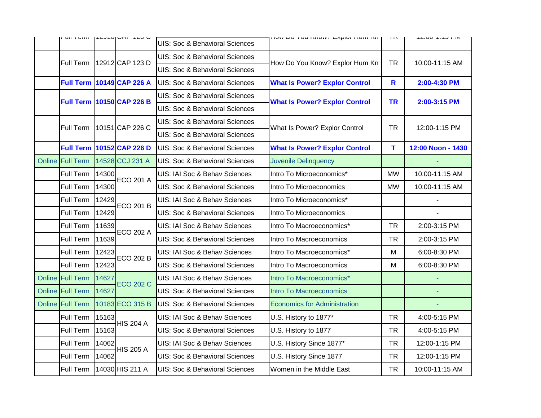|                  |       | UILI UILI   ILUIUIUNI ILUU       | UIS: Soc & Behavioral Sciences            | ן וועזרחות רוטוער. באקומר אטר עם זועור | 11X         | <b>IZ.UU-T.TU TINE</b> |
|------------------|-------|----------------------------------|-------------------------------------------|----------------------------------------|-------------|------------------------|
| Full Term        |       | 12912 CAP 123 D                  | <b>UIS: Soc &amp; Behavioral Sciences</b> | How Do You Know? Explor Hum Kn         | <b>TR</b>   | 10:00-11:15 AM         |
|                  |       |                                  | UIS: Soc & Behavioral Sciences            |                                        |             |                        |
|                  |       | <b>Full Term 10149 CAP 226 A</b> | UIS: Soc & Behavioral Sciences            | <b>What Is Power? Explor Control</b>   | $\mathbf R$ | 2:00-4:30 PM           |
|                  |       | <b>Full Term 10150 CAP 226 B</b> | <b>UIS: Soc &amp; Behavioral Sciences</b> | <b>What Is Power? Explor Control</b>   | <b>TR</b>   | 2:00-3:15 PM           |
|                  |       |                                  | UIS: Soc & Behavioral Sciences            |                                        |             |                        |
| Full Term        |       | 10151 CAP 226 C                  | <b>UIS: Soc &amp; Behavioral Sciences</b> | What Is Power? Explor Control          | <b>TR</b>   | 12:00-1:15 PM          |
|                  |       |                                  | UIS: Soc & Behavioral Sciences            |                                        |             |                        |
|                  |       | <b>Full Term 10152 CAP 226 D</b> | UIS: Soc & Behavioral Sciences            | <b>What Is Power? Explor Control</b>   | T           | 12:00 Noon - 1430      |
| Online Full Term |       | 14528 CCJ 231 A                  | UIS: Soc & Behavioral Sciences            | <b>Juvenile Delinquency</b>            |             |                        |
| Full Term        | 14300 | <b>ECO 201 A</b>                 | UIS: IAI Soc & Behav Sciences             | Intro To Microeconomics*               | <b>MW</b>   | 10:00-11:15 AM         |
| Full Term        | 14300 |                                  | UIS: Soc & Behavioral Sciences            | Intro To Microeconomics                | <b>MW</b>   | 10:00-11:15 AM         |
| Full Term        | 12429 | <b>ECO 201 B</b>                 | UIS: IAI Soc & Behav Sciences             | Intro To Microeconomics*               |             |                        |
| Full Term        | 12429 |                                  | <b>UIS: Soc &amp; Behavioral Sciences</b> | Intro To Microeconomics                |             |                        |
| Full Term        | 11639 | <b>ECO 202 A</b>                 | UIS: IAI Soc & Behav Sciences             | Intro To Macroeconomics*               | <b>TR</b>   | 2:00-3:15 PM           |
| Full Term        | 11639 |                                  | UIS: Soc & Behavioral Sciences            | Intro To Macroeconomics                | TR          | 2:00-3:15 PM           |
| Full Term        | 12423 | <b>ECO 202 B</b>                 | UIS: IAI Soc & Behav Sciences             | Intro To Macroeconomics*               | M           | 6:00-8:30 PM           |
| Full Term        | 12423 |                                  | UIS: Soc & Behavioral Sciences            | Intro To Macroeconomics                | M           | 6:00-8:30 PM           |
| Online Full Term | 14627 | <b>ECO 202 C</b>                 | UIS: IAI Soc & Behav Sciences             | Intro To Macroeconomics*               |             |                        |
| Online Full Term | 14627 |                                  | UIS: Soc & Behavioral Sciences            | <b>Intro To Macroeconomics</b>         |             |                        |
| Online Full Term |       | 10183 ECO 315 B                  | UIS: Soc & Behavioral Sciences            | <b>Economics for Administration</b>    |             |                        |
| Full Term        | 15163 | <b>HIS 204 A</b>                 | UIS: IAI Soc & Behav Sciences             | U.S. History to 1877*                  | <b>TR</b>   | 4:00-5:15 PM           |
| Full Term        | 15163 |                                  | UIS: Soc & Behavioral Sciences            | U.S. History to 1877                   | TR          | 4:00-5:15 PM           |
| Full Term        | 14062 | <b>HIS 205 A</b>                 | UIS: IAI Soc & Behav Sciences             | U.S. History Since 1877*               | <b>TR</b>   | 12:00-1:15 PM          |
| Full Term        | 14062 |                                  | UIS: Soc & Behavioral Sciences            | U.S. History Since 1877                | <b>TR</b>   | 12:00-1:15 PM          |
| Full Term        |       | 14030 HIS 211 A                  | UIS: Soc & Behavioral Sciences            | Women in the Middle East               | <b>TR</b>   | 10:00-11:15 AM         |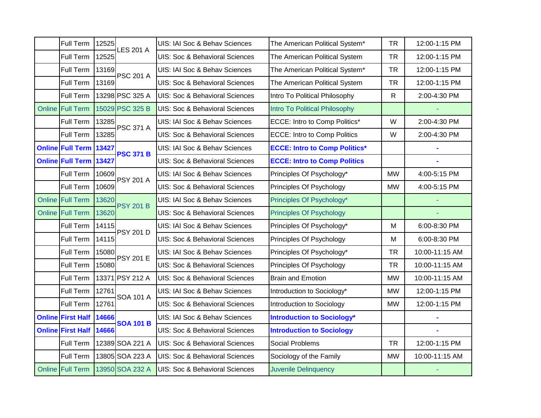| Full Term                | 12525 | <b>LES 201 A</b> | UIS: IAI Soc & Behav Sciences             | The American Political System*       | <b>TR</b>    | 12:00-1:15 PM  |
|--------------------------|-------|------------------|-------------------------------------------|--------------------------------------|--------------|----------------|
| Full Term                | 12525 |                  | UIS: Soc & Behavioral Sciences            | The American Political System        | <b>TR</b>    | 12:00-1:15 PM  |
| Full Term                | 13169 | <b>PSC 201 A</b> | UIS: IAI Soc & Behav Sciences             | The American Political System*       | <b>TR</b>    | 12:00-1:15 PM  |
| Full Term                | 13169 |                  | UIS: Soc & Behavioral Sciences            | The American Political System        | <b>TR</b>    | 12:00-1:15 PM  |
| Full Term                |       | 13298 PSC 325 A  | UIS: Soc & Behavioral Sciences            | Intro To Political Philosophy        | $\mathsf{R}$ | 2:00-4:30 PM   |
| Online Full Term         |       | 15029 PSC 325 B  | UIS: Soc & Behavioral Sciences            | Intro To Political Philosophy        |              |                |
| Full Term                | 13285 | <b>PSC 371 A</b> | UIS: IAI Soc & Behav Sciences             | ECCE: Intro to Comp Politics*        | W            | 2:00-4:30 PM   |
| Full Term                | 13285 |                  | UIS: Soc & Behavioral Sciences            | <b>ECCE: Intro to Comp Politics</b>  | W            | 2:00-4:30 PM   |
| Online Full Term 13427   |       | <b>PSC 371 B</b> | UIS: IAI Soc & Behav Sciences             | <b>ECCE: Intro to Comp Politics*</b> |              |                |
| Online Full Term 13427   |       |                  | UIS: Soc & Behavioral Sciences            | <b>ECCE: Intro to Comp Politics</b>  |              |                |
| Full Term                | 10609 | <b>PSY 201 A</b> | UIS: IAI Soc & Behav Sciences             | Principles Of Psychology*            | <b>MW</b>    | 4:00-5:15 PM   |
| Full Term                | 10609 |                  | UIS: Soc & Behavioral Sciences            | Principles Of Psychology             | <b>MW</b>    | 4:00-5:15 PM   |
| <b>Online Full Term</b>  | 13620 | <b>PSY 201 B</b> | UIS: IAI Soc & Behav Sciences             | Principles Of Psychology*            |              |                |
| <b>Online Full Term</b>  | 13620 |                  | UIS: Soc & Behavioral Sciences            | <b>Principles Of Psychology</b>      |              |                |
| Full Term                | 14115 | <b>PSY 201 D</b> | UIS: IAI Soc & Behav Sciences             | Principles Of Psychology*            | M            | 6:00-8:30 PM   |
| Full Term                | 14115 |                  | UIS: Soc & Behavioral Sciences            | Principles Of Psychology             | M            | 6:00-8:30 PM   |
| Full Term                | 15080 | <b>PSY 201 E</b> | UIS: IAI Soc & Behav Sciences             | Principles Of Psychology*            | <b>TR</b>    | 10:00-11:15 AM |
| Full Term                | 15080 |                  | UIS: Soc & Behavioral Sciences            | Principles Of Psychology             | <b>TR</b>    | 10:00-11:15 AM |
| Full Term                |       | 13371 PSY 212 A  | UIS: Soc & Behavioral Sciences            | <b>Brain and Emotion</b>             | <b>MW</b>    | 10:00-11:15 AM |
| Full Term                | 12761 | <b>SOA 101 A</b> | UIS: IAI Soc & Behav Sciences             | Introduction to Sociology*           | <b>MW</b>    | 12:00-1:15 PM  |
| Full Term                | 12761 |                  | UIS: Soc & Behavioral Sciences            | Introduction to Sociology            | <b>MW</b>    | 12:00-1:15 PM  |
| <b>Online First Half</b> | 14666 | <b>SOA 101 B</b> | UIS: IAI Soc & Behav Sciences             | <b>Introduction to Sociology*</b>    |              |                |
| <b>Online First Half</b> | 14666 |                  | <b>UIS: Soc &amp; Behavioral Sciences</b> | <b>Introduction to Sociology</b>     |              |                |
| Full Term                |       | 12389 SOA 221 A  | UIS: Soc & Behavioral Sciences            | Social Problems                      | <b>TR</b>    | 12:00-1:15 PM  |
| Full Term                |       | 13805 SOA 223 A  | UIS: Soc & Behavioral Sciences            | Sociology of the Family              | <b>MW</b>    | 10:00-11:15 AM |
| <b>Online Full Term</b>  |       | 13950 SOA 232 A  | UIS: Soc & Behavioral Sciences            | <b>Juvenile Delinquency</b>          |              |                |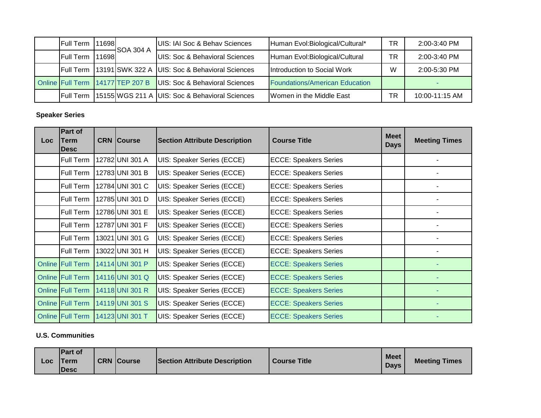| <b>Full Term</b>  | 11698 | <b>S</b> OA 304 A                | UIS: IAI Soc & Behav Sciences                  | Human Evol: Biological/Cultural*      | ΤR | $2:00 - 3:40$ PM |
|-------------------|-------|----------------------------------|------------------------------------------------|---------------------------------------|----|------------------|
| Full Term         | 11698 |                                  | UIS: Soc & Behavioral Sciences                 | Human Evol: Biological/Cultural       | ТR | 2:00-3:40 PM     |
| <b>IFull Term</b> |       |                                  | 13191 SWK 322 A UIS: Soc & Behavioral Sciences | Introduction to Social Work           | W  | 2:00-5:30 PM     |
|                   |       | Online Full Term 14177 TEP 207 B | UIS: Soc & Behavioral Sciences                 | <b>Foundations/American Education</b> |    |                  |
| <b>IFull Term</b> |       |                                  | 15155 WGS 211 A UIS: Soc & Behavioral Sciences | Women in the Middle East              | ТR | 10:00-11:15 AM   |

#### **Speaker Series**

| Loc | Part of<br>Term<br>Desc | <b>CRN Course</b> | <b>Section Attribute Description</b> | <b>Course Title</b>          | <b>Meet</b><br><b>Days</b> | <b>Meeting Times</b> |
|-----|-------------------------|-------------------|--------------------------------------|------------------------------|----------------------------|----------------------|
|     | Full Term               | 12782 UNI 301 A   | UIS: Speaker Series (ECCE)           | <b>ECCE: Speakers Series</b> |                            |                      |
|     | Full Term               | 12783UNI 301 B    | UIS: Speaker Series (ECCE)           | <b>ECCE: Speakers Series</b> |                            |                      |
|     | Full Term               | 12784 UNI 301 C   | UIS: Speaker Series (ECCE)           | <b>ECCE: Speakers Series</b> |                            |                      |
|     | Full Term               | 12785 UNI 301 D   | <b>UIS: Speaker Series (ECCE)</b>    | <b>ECCE: Speakers Series</b> |                            |                      |
|     | Full Term               | 12786 UNI 301 E   | UIS: Speaker Series (ECCE)           | <b>ECCE: Speakers Series</b> |                            |                      |
|     | Full Term               | 12787 UNI 301 F   | UIS: Speaker Series (ECCE)           | <b>ECCE: Speakers Series</b> |                            |                      |
|     | Full Term               | 13021 UNI 301 G   | UIS: Speaker Series (ECCE)           | <b>ECCE: Speakers Series</b> |                            |                      |
|     | Full Term               | 13022 UNI 301 H   | UIS: Speaker Series (ECCE)           | <b>ECCE: Speakers Series</b> |                            |                      |
|     | Online Full Term        | 14114 UNI 301 P   | UIS: Speaker Series (ECCE)           | <b>ECCE: Speakers Series</b> |                            |                      |
|     | <b>Online Full Term</b> | 14116 UNI 301 Q   | UIS: Speaker Series (ECCE)           | <b>ECCE: Speakers Series</b> |                            |                      |
|     | Online Full Term        | 14118 UNI 301 R   | UIS: Speaker Series (ECCE)           | <b>ECCE: Speakers Series</b> |                            |                      |
|     | <b>Online Full Term</b> | 14119 UNI 301 S   | UIS: Speaker Series (ECCE)           | <b>ECCE: Speakers Series</b> |                            |                      |
|     | Online Full Term        | 14123 UNI 301 T   | UIS: Speaker Series (ECCE)           | <b>ECCE: Speakers Series</b> |                            |                      |

### **U.S. Communities**

| Loc | <b>IPart of</b><br><b>Term</b><br><b>IDesc</b> |  | <b>CRN</b> Course | <b>Section Attribute Description</b> | <b>Course Title</b> | <b>Meet</b><br><b>Davs</b> | <b>Meeting Times</b> |
|-----|------------------------------------------------|--|-------------------|--------------------------------------|---------------------|----------------------------|----------------------|
|-----|------------------------------------------------|--|-------------------|--------------------------------------|---------------------|----------------------------|----------------------|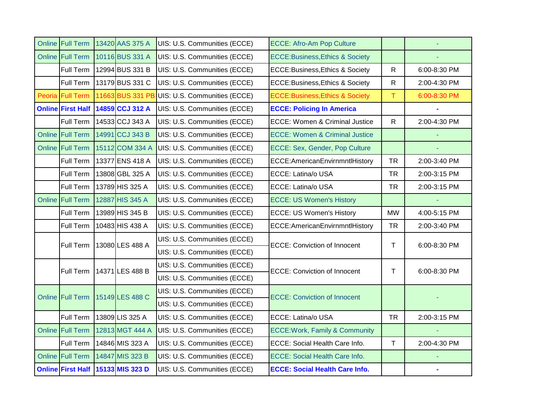| <b>Online Full Term</b>  | 13420 AAS 375 A                   | UIS: U.S. Communities (ECCE) | <b>ECCE: Afro-Am Pop Culture</b>           |              |              |
|--------------------------|-----------------------------------|------------------------------|--------------------------------------------|--------------|--------------|
| <b>Online Full Term</b>  | 10116 BUS 331 A                   | UIS: U.S. Communities (ECCE) | <b>ECCE:Business, Ethics &amp; Society</b> |              |              |
| Full Term                | 12994 BUS 331 B                   | UIS: U.S. Communities (ECCE) | ECCE: Business, Ethics & Society           | $\mathsf{R}$ | 6:00-8:30 PM |
| Full Term                | 13179 BUS 331 C                   | UIS: U.S. Communities (ECCE) | ECCE: Business, Ethics & Society           | $\mathsf{R}$ | 2:00-4:30 PM |
| Peoria Full Term         | 11663 BUS 331 PB                  | UIS: U.S. Communities (ECCE) | <b>ECCE:Business, Ethics &amp; Society</b> | T            | 6:00-8:30 PM |
| <b>Online First Half</b> | 14859 CCJ 312 A                   | UIS: U.S. Communities (ECCE) | <b>ECCE: Policing In America</b>           |              |              |
| Full Term                | 14533 CCJ 343 A                   | UIS: U.S. Communities (ECCE) | ECCE: Women & Criminal Justice             | $\mathsf{R}$ | 2:00-4:30 PM |
| Online Full Term         | 14991 CCJ 343 B                   | UIS: U.S. Communities (ECCE) | <b>ECCE: Women &amp; Criminal Justice</b>  |              |              |
| <b>Online Full Term</b>  | 15112 COM 334 A                   | UIS: U.S. Communities (ECCE) | ECCE: Sex, Gender, Pop Culture             |              |              |
| Full Term                | 13377 ENS 418 A                   | UIS: U.S. Communities (ECCE) | ECCE:AmericanEnvirnmntlHistory             | <b>TR</b>    | 2:00-3:40 PM |
| Full Term                | 13808 GBL 325 A                   | UIS: U.S. Communities (ECCE) | ECCE: Latina/o USA                         | <b>TR</b>    | 2:00-3:15 PM |
| Full Term                | 13789 HIS 325 A                   | UIS: U.S. Communities (ECCE) | ECCE: Latina/o USA                         | <b>TR</b>    | 2:00-3:15 PM |
| <b>Online Full Term</b>  | 12887 HIS 345 A                   | UIS: U.S. Communities (ECCE) | <b>ECCE: US Women's History</b>            |              |              |
| Full Term                | 13989 HIS 345 B                   | UIS: U.S. Communities (ECCE) | <b>ECCE: US Women's History</b>            | <b>MW</b>    | 4:00-5:15 PM |
| Full Term                | 10483 HIS 438 A                   | UIS: U.S. Communities (ECCE) | ECCE:AmericanEnvirnmntlHistory             | <b>TR</b>    | 2:00-3:40 PM |
| <b>Full Term</b>         | 13080 LES 488 A                   | UIS: U.S. Communities (ECCE) | <b>ECCE: Conviction of Innocent</b>        | Τ            | 6:00-8:30 PM |
|                          |                                   | UIS: U.S. Communities (ECCE) |                                            |              |              |
| Full Term                | 14371 LES 488 B                   | UIS: U.S. Communities (ECCE) | <b>ECCE: Conviction of Innocent</b>        | Τ            | 6:00-8:30 PM |
|                          |                                   | UIS: U.S. Communities (ECCE) |                                            |              |              |
| <b>Online Full Term</b>  | 15149 LES 488 C                   | UIS: U.S. Communities (ECCE) | <b>ECCE: Conviction of Innocent</b>        |              |              |
|                          |                                   | UIS: U.S. Communities (ECCE) |                                            |              |              |
| Full Term                | 13809 LIS 325 A                   | UIS: U.S. Communities (ECCE) | ECCE: Latina/o USA                         | <b>TR</b>    | 2:00-3:15 PM |
| <b>Online Full Term</b>  | 12813 MGT 444 A                   | UIS: U.S. Communities (ECCE) | <b>ECCE: Work, Family &amp; Community</b>  |              |              |
| Full Term                | 14846 MIS 323 A                   | UIS: U.S. Communities (ECCE) | ECCE: Social Health Care Info.             | $\mathsf T$  | 2:00-4:30 PM |
| Online Full Term         | 14847 MIS 323 B                   | UIS: U.S. Communities (ECCE) | ECCE: Social Health Care Info.             |              |              |
|                          | Online First Half 15133 MIS 323 D | UIS: U.S. Communities (ECCE) | <b>ECCE: Social Health Care Info.</b>      |              |              |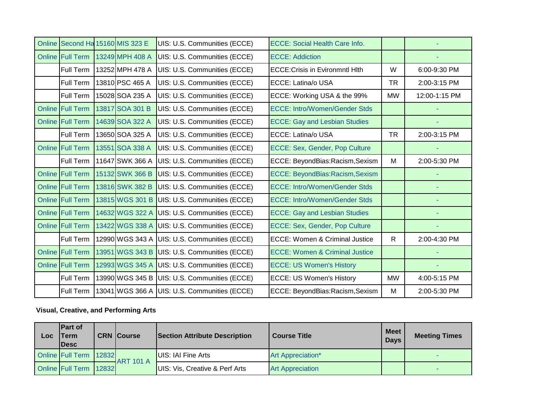| Online Second Ha 15160 MIS 323 E |                 | UIS: U.S. Communities (ECCE)                 | <b>ECCE: Social Health Care Info.</b>     |           |               |
|----------------------------------|-----------------|----------------------------------------------|-------------------------------------------|-----------|---------------|
| Online Full Term                 | 13249 MPH 408 A | UIS: U.S. Communities (ECCE)                 | <b>ECCE: Addiction</b>                    |           |               |
| Full Term                        | 13252 MPH 478 A | UIS: U.S. Communities (ECCE)                 | <b>ECCE:Crisis in Evironmntl Hlth</b>     | W         | 6:00-9:30 PM  |
| Full Term                        | 13810 PSC 465 A | UIS: U.S. Communities (ECCE)                 | ECCE: Latina/o USA                        | <b>TR</b> | 2:00-3:15 PM  |
| Full Term                        | 15028 SOA 235 A | UIS: U.S. Communities (ECCE)                 | ECCE: Working USA & the 99%               | <b>MW</b> | 12:00-1:15 PM |
| <b>Online Full Term</b>          | 13817 SOA 301 B | UIS: U.S. Communities (ECCE)                 | <b>ECCE: Intro/Women/Gender Stds</b>      |           |               |
| <b>Online Full Term</b>          | 14639 SOA 322 A | UIS: U.S. Communities (ECCE)                 | <b>ECCE: Gay and Lesbian Studies</b>      |           |               |
| Full Term                        | 13650 SOA 325 A | UIS: U.S. Communities (ECCE)                 | ECCE: Latina/o USA                        | <b>TR</b> | 2:00-3:15 PM  |
| Online Full Term                 | 13551 SOA 338 A | UIS: U.S. Communities (ECCE)                 | ECCE: Sex, Gender, Pop Culture            |           |               |
| Full Term                        | 11647 SWK 366 A | UIS: U.S. Communities (ECCE)                 | ECCE: BeyondBias:Racism,Sexism            | M         | 2:00-5:30 PM  |
| <b>Online Full Term</b>          | 15132 SWK 366 B | UIS: U.S. Communities (ECCE)                 | ECCE: BeyondBias:Racism,Sexism            |           |               |
| <b>Online Full Term</b>          | 13816 SWK 382 B | UIS: U.S. Communities (ECCE)                 | <b>ECCE: Intro/Women/Gender Stds</b>      |           |               |
| <b>Online Full Term</b>          | 13815 WGS 301 B | UIS: U.S. Communities (ECCE)                 | <b>ECCE: Intro/Women/Gender Stds</b>      |           |               |
| <b>Online Full Term</b>          | 14632 WGS 322 A | UIS: U.S. Communities (ECCE)                 | <b>ECCE: Gay and Lesbian Studies</b>      |           |               |
| <b>Online Full Term</b>          | 13422 WGS 338 A | UIS: U.S. Communities (ECCE)                 | ECCE: Sex, Gender, Pop Culture            |           |               |
| Full Term                        | 12990 WGS 343 A | UIS: U.S. Communities (ECCE)                 | ECCE: Women & Criminal Justice            | R         | 2:00-4:30 PM  |
| <b>Online Full Term</b>          | 13951 WGS 343 B | UIS: U.S. Communities (ECCE)                 | <b>ECCE: Women &amp; Criminal Justice</b> |           |               |
| <b>Online Full Term</b>          | 12993 WGS 345 A | UIS: U.S. Communities (ECCE)                 | <b>ECCE: US Women's History</b>           |           |               |
| Full Term                        |                 | 13990 WGS 345 B UIS: U.S. Communities (ECCE) | <b>ECCE: US Women's History</b>           | <b>MW</b> | 4:00-5:15 PM  |
| Full Term                        |                 | 13041 WGS 366 A UIS: U.S. Communities (ECCE) | ECCE: BeyondBias:Racism,Sexism            | M         | 2:00-5:30 PM  |

**Visual, Creative, and Performing Arts**

| Loc | <b>Part of</b><br>Term<br><b>IDesc</b> | <b>CRN Course</b> | <b>Section Attribute Description</b> | <b>Course Title</b>      | <b>Meet</b><br><b>Days</b> | <b>Meeting Times</b> |
|-----|----------------------------------------|-------------------|--------------------------------------|--------------------------|----------------------------|----------------------|
|     | Online Full Term   12832               |                   | UIS: IAI Fine Arts                   | <b>Art Appreciation*</b> |                            |                      |
|     | Online Full Term   12832               | <b>ART 101 A</b>  | UIS: Vis, Creative & Perf Arts       | <b>Art Appreciation</b>  |                            |                      |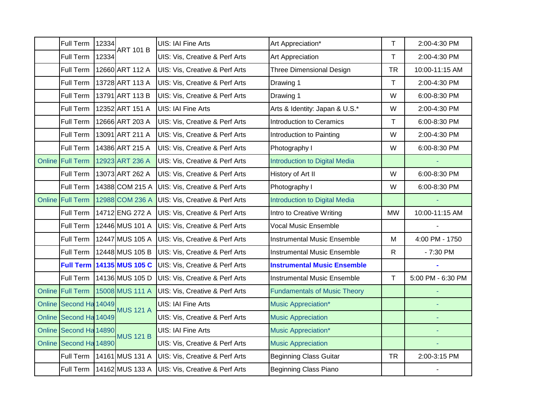|        | Full Term              | 12334 | <b>ART 101 B</b>                 | <b>UIS: IAI Fine Arts</b>                 | Art Appreciation*                    | T            | 2:00-4:30 PM      |
|--------|------------------------|-------|----------------------------------|-------------------------------------------|--------------------------------------|--------------|-------------------|
|        | Full Term              | 12334 |                                  | UIS: Vis, Creative & Perf Arts            | Art Appreciation                     | T            | 2:00-4:30 PM      |
|        | Full Term              |       | 12660 ART 112 A                  | <b>UIS: Vis, Creative &amp; Perf Arts</b> | <b>Three Dimensional Design</b>      | <b>TR</b>    | 10:00-11:15 AM    |
|        | Full Term              |       | 13728 ART 113 A                  | <b>UIS: Vis, Creative &amp; Perf Arts</b> | Drawing 1                            | T            | 2:00-4:30 PM      |
|        | Full Term              |       | 13791 ART 113 B                  | UIS: Vis, Creative & Perf Arts            | Drawing 1                            | W            | 6:00-8:30 PM      |
|        | Full Term              |       | 12352 ART 151 A                  | UIS: IAI Fine Arts                        | Arts & Identity: Japan & U.S.*       | W            | 2:00-4:30 PM      |
|        | Full Term              |       | 12666 ART 203 A                  | UIS: Vis, Creative & Perf Arts            | <b>Introduction to Ceramics</b>      | T            | 6:00-8:30 PM      |
|        | Full Term              |       | 13091 ART 211 A                  | UIS: Vis, Creative & Perf Arts            | Introduction to Painting             | W            | 2:00-4:30 PM      |
|        | Full Term              |       | 14386 ART 215 A                  | UIS: Vis, Creative & Perf Arts            | Photography I                        | W            | 6:00-8:30 PM      |
|        | Online Full Term       |       | 12923 ART 236 A                  | UIS: Vis, Creative & Perf Arts            | <b>Introduction to Digital Media</b> |              |                   |
|        | Full Term              |       | 13073 ART 262 A                  | UIS: Vis, Creative & Perf Arts            | History of Art II                    | W            | 6:00-8:30 PM      |
|        | Full Term              |       | 14388 COM 215 A                  | UIS: Vis, Creative & Perf Arts            | Photography I                        | W            | 6:00-8:30 PM      |
|        | Online Full Term       |       | 12988 COM 236 A                  | UIS: Vis, Creative & Perf Arts            | <b>Introduction to Digital Media</b> |              |                   |
|        | Full Term              |       | 14712 ENG 272 A                  | UIS: Vis, Creative & Perf Arts            | Intro to Creative Writing            | <b>MW</b>    | 10:00-11:15 AM    |
|        | Full Term              |       | 12446 MUS 101 A                  | UIS: Vis, Creative & Perf Arts            | <b>Vocal Music Ensemble</b>          |              |                   |
|        | Full Term              |       | 12447 MUS 105 A                  | UIS: Vis, Creative & Perf Arts            | <b>Instrumental Music Ensemble</b>   | ${\sf M}$    | 4:00 PM - 1750    |
|        | Full Term              |       | 12448 MUS 105 B                  | UIS: Vis, Creative & Perf Arts            | <b>Instrumental Music Ensemble</b>   | $\mathsf{R}$ | $-7:30$ PM        |
|        |                        |       | <b>Full Term 14135 MUS 105 C</b> | UIS: Vis, Creative & Perf Arts            | <b>Instrumental Music Ensemble</b>   |              |                   |
|        | Full Term              |       | 14136 MUS 105 D                  | UIS: Vis, Creative & Perf Arts            | <b>Instrumental Music Ensemble</b>   | T            | 5:00 PM - 6:30 PM |
|        | Online Full Term       |       | 15008 MUS 111 A                  | <b>UIS: Vis, Creative &amp; Perf Arts</b> | <b>Fundamentals of Music Theory</b>  |              | ä,                |
|        | Online Second Ha 14049 |       |                                  | <b>UIS: IAI Fine Arts</b>                 | Music Appreciation*                  |              |                   |
| Online | Second Ha 14049        |       | <b>MUS 121 A</b>                 | UIS: Vis, Creative & Perf Arts            | <b>Music Appreciation</b>            |              | Ξ                 |
|        | Online Second Ha 14890 |       |                                  | <b>UIS: IAI Fine Arts</b>                 | <b>Music Appreciation*</b>           |              |                   |
|        | Online Second Ha 14890 |       | <b>MUS 121 B</b>                 | UIS: Vis, Creative & Perf Arts            | <b>Music Appreciation</b>            |              |                   |
|        | Full Term              |       | 14161 MUS 131 A                  | UIS: Vis, Creative & Perf Arts            | <b>Beginning Class Guitar</b>        | <b>TR</b>    | 2:00-3:15 PM      |
|        |                        |       | Full Term   14162 MUS 133 A      | UIS: Vis, Creative & Perf Arts            | <b>Beginning Class Piano</b>         |              |                   |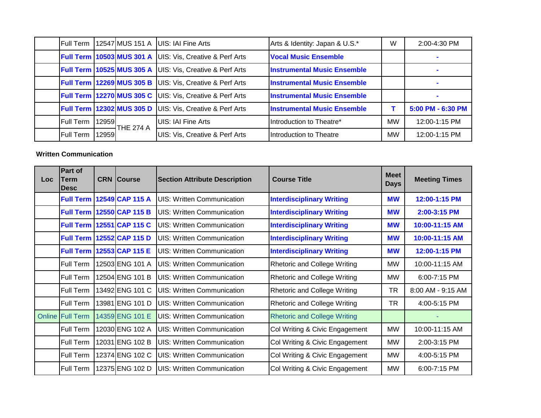| Full Term |       | 12547 MUS 151 A                  | UIS: IAI Fine Arts                                                  | Arts & Identity: Japan & U.S.*     | W         | 2:00-4:30 PM      |
|-----------|-------|----------------------------------|---------------------------------------------------------------------|------------------------------------|-----------|-------------------|
|           |       | <b>Full Term 10503 MUS 301 A</b> | UIS: Vis, Creative & Perf Arts                                      | <b>Vocal Music Ensemble</b>        |           |                   |
|           |       |                                  | <b>Full Term 10525 MUS 305 A UIS: Vis, Creative &amp; Perf Arts</b> | <b>Instrumental Music Ensemble</b> |           |                   |
|           |       | <b>Full Term 12269 MUS 305 B</b> | UIS: Vis, Creative & Perf Arts                                      | <b>Instrumental Music Ensemble</b> |           |                   |
|           |       |                                  | <b>Full Term 12270 MUS 305 C UIS: Vis, Creative &amp; Perf Arts</b> | <b>Instrumental Music Ensemble</b> |           |                   |
|           |       |                                  | <b>Full Term 12302 MUS 305 D UIS: Vis, Creative &amp; Perf Arts</b> | <b>Instrumental Music Ensemble</b> |           | 5:00 PM - 6:30 PM |
| Full Term | 12959 | THE 274 A                        | UIS: IAI Fine Arts                                                  | Introduction to Theatre*           | <b>MW</b> | 12:00-1:15 PM     |
| Full Term | 12959 |                                  | <b>UIS: Vis, Creative &amp; Perf Arts</b>                           | Introduction to Theatre            | <b>MW</b> | 12:00-1:15 PM     |

## **Written Communication**

| <b>Loc</b> | Part of<br>Term<br>Desc | <b>CRN Course</b>                | <b>Section Attribute Description</b> | <b>Course Title</b>                 | <b>Meet</b><br><b>Days</b> | <b>Meeting Times</b> |
|------------|-------------------------|----------------------------------|--------------------------------------|-------------------------------------|----------------------------|----------------------|
|            | <b>Full Term</b>        | 12549 CAP 115 A                  | <b>UIS: Written Communication</b>    | <b>Interdisciplinary Writing</b>    | <b>MW</b>                  | 12:00-1:15 PM        |
|            | <b>Full Term</b>        | 12550 CAP 115 B                  | <b>UIS: Written Communication</b>    | <b>Interdisciplinary Writing</b>    | <b>MW</b>                  | 2:00-3:15 PM         |
|            |                         | <b>Full Term 12551 CAP 115 C</b> | <b>UIS: Written Communication</b>    | <b>Interdisciplinary Writing</b>    | <b>MW</b>                  | 10:00-11:15 AM       |
|            | <b>Full Term</b>        | 12552 CAP 115 D                  | <b>UIS: Written Communication</b>    | <b>Interdisciplinary Writing</b>    | <b>MW</b>                  | 10:00-11:15 AM       |
|            |                         | <b>Full Term 12553 CAP 115 E</b> | <b>UIS: Written Communication</b>    | <b>Interdisciplinary Writing</b>    | <b>MW</b>                  | 12:00-1:15 PM        |
|            | Full Term               | 12503 ENG 101 A                  | <b>UIS: Written Communication</b>    | <b>Rhetoric and College Writing</b> | MW                         | 10:00-11:15 AM       |
|            | Full Term               | 12504 ENG 101 B                  | <b>UIS: Written Communication</b>    | <b>Rhetoric and College Writing</b> | MW                         | 6:00-7:15 PM         |
|            | Full Term               | 13492 ENG 101 C                  | <b>UIS: Written Communication</b>    | Rhetoric and College Writing        | <b>TR</b>                  | 8:00 AM - 9:15 AM    |
|            | Full Term               | 13981 ENG 101 D                  | <b>UIS: Written Communication</b>    | <b>Rhetoric and College Writing</b> | TR                         | 4:00-5:15 PM         |
|            | <b>Online Full Term</b> | 14359 ENG 101 E                  | <b>UIS: Written Communication</b>    | <b>Rhetoric and College Writing</b> |                            |                      |
|            | Full Term               | 12030 ENG 102 A                  | <b>UIS: Written Communication</b>    | Col Writing & Civic Engagement      | <b>MW</b>                  | 10:00-11:15 AM       |
|            | Full Term               | 12031 ENG 102 B                  | <b>UIS: Written Communication</b>    | Col Writing & Civic Engagement      | MW                         | 2:00-3:15 PM         |
|            | Full Term               | 12374 ENG 102 C                  | <b>UIS: Written Communication</b>    | Col Writing & Civic Engagement      | <b>MW</b>                  | 4:00-5:15 PM         |
|            | Full Term               | 12375 ENG 102 D                  | UIS: Written Communication           | Col Writing & Civic Engagement      | <b>MW</b>                  | 6:00-7:15 PM         |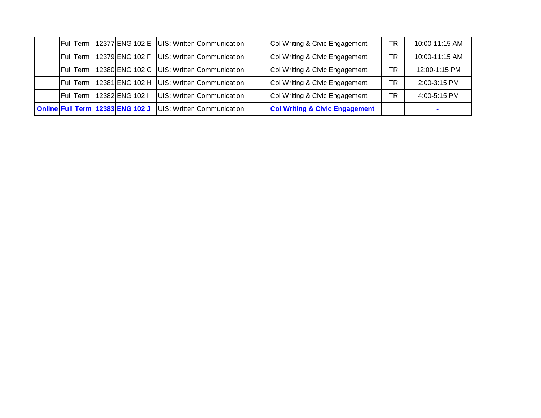| <b>Full Term</b> |                                  | 12377 ENG 102 E UIS: Written Communication | Col Writing & Civic Engagement            | ТR | 10:00-11:15 AM |
|------------------|----------------------------------|--------------------------------------------|-------------------------------------------|----|----------------|
| <b>Full Term</b> | 12379 ENG 102 F                  | UIS: Written Communication                 | Col Writing & Civic Engagement            | ТR | 10:00-11:15 AM |
| <b>Full Term</b> |                                  | 12380 ENG 102 G UIS: Written Communication | Col Writing & Civic Engagement            | TR | 12:00-1:15 PM  |
| <b>Full Term</b> | 12381 ENG 102 H                  | UIS: Written Communication                 | Col Writing & Civic Engagement            | ТR | 2:00-3:15 PM   |
| <b>Full Term</b> | 12382 ENG 102 I                  | UIS: Written Communication                 | Col Writing & Civic Engagement            | TR | 4:00-5:15 PM   |
|                  | Online Full Term 12383 ENG 102 J | UIS: Written Communication                 | <b>Col Writing &amp; Civic Engagement</b> |    |                |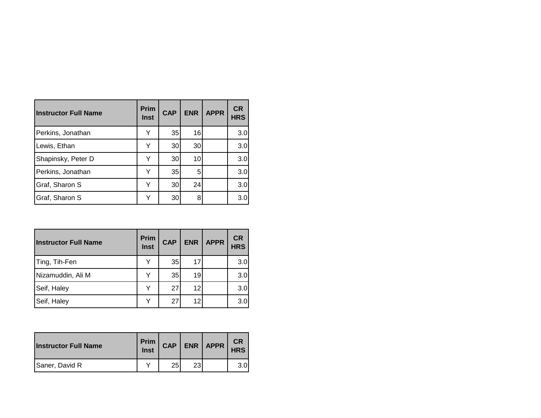| lInstructor Full Name | <b>Prim</b><br><b>Inst</b> | <b>CAP</b> | <b>ENR</b> | <b>APPR</b> | <b>CR</b><br><b>HRS</b> |
|-----------------------|----------------------------|------------|------------|-------------|-------------------------|
| Perkins, Jonathan     | Y                          | 35         | 16         |             | 3.0                     |
| Lewis, Ethan          | Y                          | 30         | 30         |             | 3.0                     |
| Shapinsky, Peter D    |                            | 30         | 10         |             | 3.0                     |
| Perkins, Jonathan     | Y                          | 35         | 5          |             | 3.0                     |
| Graf, Sharon S        | Y                          | 30         | 24         |             | 3.0                     |
| Graf, Sharon S        |                            | 30         | 8          |             | 3.0                     |

| <b>Instructor Full Name</b> | <b>Prim</b><br>Inst | <b>CAP</b> | <b>ENR</b> | <b>APPR</b> | <b>CR</b><br><b>HRS</b> |
|-----------------------------|---------------------|------------|------------|-------------|-------------------------|
| Ting, Tih-Fen               |                     | 35         | 17         |             | 3.0                     |
| Nizamuddin, Ali M           |                     | 35         | 19         |             | 3.0                     |
| Seif, Haley                 |                     | 27         | 12         |             | 3.0                     |
| Seif, Haley                 |                     | 27         | 12         |             | 3.0                     |

| <b>Instructor Full Name</b> | Prim<br><b>Inst</b> | <b>CAP</b> | ENR | <b>APPR</b> | <b>CR</b><br><b>HRS</b> |
|-----------------------------|---------------------|------------|-----|-------------|-------------------------|
| Saner, David R              | $\check{ }$         | 25         | c   |             | 3.0                     |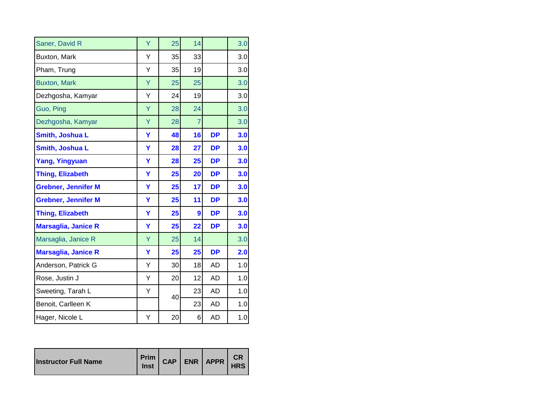| Saner, David R             | Ÿ | 25 | 14              |           | 3.0 |
|----------------------------|---|----|-----------------|-----------|-----|
| Buxton, Mark               | Υ | 35 | 33              |           | 3.0 |
| Pham, Trung                | Υ | 35 | 19              |           | 3.0 |
| <b>Buxton, Mark</b>        | Ÿ | 25 | 25              |           | 3.0 |
| Dezhgosha, Kamyar          | Y | 24 | 19              |           | 3.0 |
| Guo, Ping                  | Ÿ | 28 | 24              |           | 3.0 |
| Dezhgosha, Kamyar          | Y | 28 | $\overline{7}$  |           | 3.0 |
| Smith, Joshua L            | Y | 48 | 16              | <b>DP</b> | 3.0 |
| Smith, Joshua L            | Y | 28 | $\overline{27}$ | <b>DP</b> | 3.0 |
| <b>Yang, Yingyuan</b>      | Y | 28 | 25              | <b>DP</b> | 3.0 |
| <b>Thing, Elizabeth</b>    | Ÿ | 25 | 20              | <b>DP</b> | 3.0 |
| <b>Grebner, Jennifer M</b> | Y | 25 | 17              | <b>DP</b> | 3.0 |
| <b>Grebner, Jennifer M</b> | Y | 25 | 11              | <b>DP</b> | 3.0 |
| <b>Thing, Elizabeth</b>    | Y | 25 | 9               | <b>DP</b> | 3.0 |
| <b>Marsaglia, Janice R</b> | Y | 25 | 22              | <b>DP</b> | 3.0 |
| Marsaglia, Janice R        | Ÿ | 25 | 14              |           | 3.0 |
| <b>Marsaglia, Janice R</b> | Y | 25 | 25              | <b>DP</b> | 2.0 |
| Anderson, Patrick G        | Υ | 30 | 18              | <b>AD</b> | 1.0 |
| Rose, Justin J             | Υ | 20 | 12              | AD        | 1.0 |
| Sweeting, Tarah L          | Υ | 40 | 23              | <b>AD</b> | 1.0 |
| Benoit, Carlleen K         |   |    | 23              | <b>AD</b> | 1.0 |
| Hager, Nicole L            | Υ | 20 | 6               | <b>AD</b> | 1.0 |

| <b>Instructor Full Name</b> | Inst |  |  | Prim CAP ENR APPR | <b>HRS</b> |
|-----------------------------|------|--|--|-------------------|------------|
|-----------------------------|------|--|--|-------------------|------------|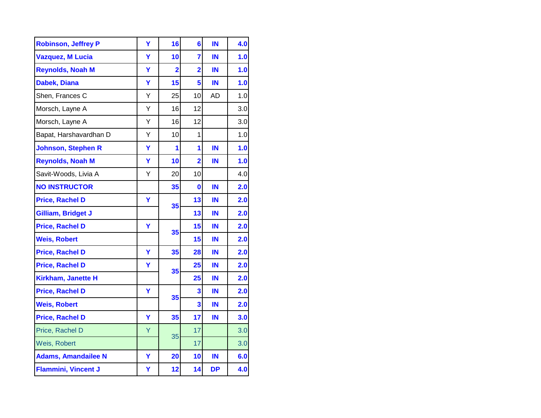| <b>Robinson, Jeffrey P</b> | Ÿ | 16             | $6\phantom{a}$          | IN        | 4.0 |
|----------------------------|---|----------------|-------------------------|-----------|-----|
| <b>Vazquez, M Lucia</b>    | Ÿ | 10             | $\overline{7}$          | IN        | 1.0 |
| <b>Reynolds, Noah M</b>    | Ÿ | $\overline{2}$ | $\overline{\mathbf{2}}$ | IN        | 1.0 |
| Dabek, Diana               | Ÿ | 15             | 5                       | IN        | 1.0 |
| Shen, Frances C            | Υ | 25             | 10                      | AD        | 1.0 |
| Morsch, Layne A            | Υ | 16             | 12                      |           | 3.0 |
| Morsch, Layne A            | Ý | 16             | 12                      |           | 3.0 |
| Bapat, Harshavardhan D     | Ý | 10             | $\mathbf{1}$            |           | 1.0 |
| <b>Johnson, Stephen R</b>  | Ÿ | 1              | 1                       | IN        | 1.0 |
| <b>Reynolds, Noah M</b>    | Ÿ | 10             | $\overline{2}$          | IN        | 1.0 |
| Savit-Woods, Livia A       | Υ | 20             | 10                      |           | 4.0 |
| <b>NO INSTRUCTOR</b>       |   | 35             | 0                       | IN        | 2.0 |
| <b>Price, Rachel D</b>     | Y | 35             | 13                      | IN        | 2.0 |
| Gilliam, Bridget J         |   |                | 13                      | IN        | 2.0 |
| <b>Price, Rachel D</b>     | Ÿ | 35             | 15                      | IN        | 2.0 |
| <b>Weis, Robert</b>        |   |                | 15                      | IN        | 2.0 |
| <b>Price, Rachel D</b>     | Ÿ | 35             | 28                      | IN        | 2.0 |
| <b>Price, Rachel D</b>     | Y | 35             | 25                      | IN        | 2.0 |
| <b>Kirkham, Janette H</b>  |   |                | 25                      | IN        | 2.0 |
| <b>Price, Rachel D</b>     | Y | 35             | 3                       | IN        | 2.0 |
| <b>Weis, Robert</b>        |   |                | 3                       | IN        | 2.0 |
| <b>Price, Rachel D</b>     | Y | 35             | 17                      | IN        | 3.0 |
| Price, Rachel D            | Ÿ | 35             | 17                      |           | 3.0 |
| Weis, Robert               |   |                | 17                      |           | 3.0 |
| <b>Adams, Amandailee N</b> | Ÿ | 20             | 10                      | IN        | 6.0 |
| <b>Flammini, Vincent J</b> | Υ | 12             | 14                      | <b>DP</b> | 4.0 |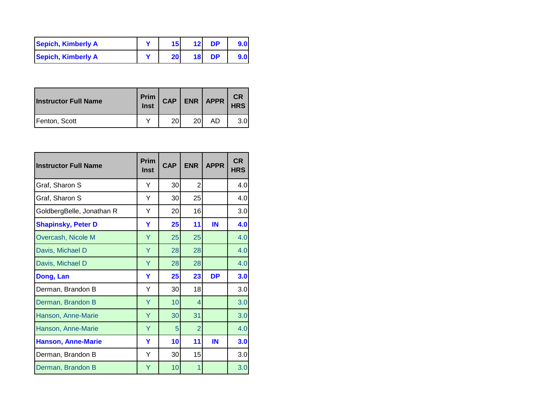| Sepich, Kimberly A | 15              | 12 | DP |  |
|--------------------|-----------------|----|----|--|
| Sepich, Kimberly A | 20 <sub>1</sub> | 18 | DP |  |

| <b>Instructor Full Name</b> | Prim<br>Inst | <b>CAP</b> | <b>ENR</b> | <b>APPR</b> | <b>CR</b><br><b>HRS</b> |
|-----------------------------|--------------|------------|------------|-------------|-------------------------|
| Fenton, Scott               |              | 20         | <b>20</b>  | AD          | 3.0                     |

| <b>Instructor Full Name</b> | Prim<br><b>Inst</b> | <b>CAP</b>     | <b>ENR</b>     | <b>APPR</b> | <b>CR</b><br><b>HRS</b> |
|-----------------------------|---------------------|----------------|----------------|-------------|-------------------------|
| Graf, Sharon S              | Y                   | 30             | $\overline{2}$ |             | 4.0                     |
| Graf, Sharon S              | Y                   | 30             | 25             |             | 4.0                     |
| GoldbergBelle, Jonathan R   | Y                   | 20             | 16             |             | 3.0                     |
| <b>Shapinsky, Peter D</b>   | Y                   | 25             | 11             | IN          | 4.0                     |
| Overcash, Nicole M          | Y                   | 25             | 25             |             | 4.0                     |
| Davis, Michael D            | Y                   | 28             | 28             |             | 4.0                     |
| Davis, Michael D            | Y                   | 28             | 28             |             | 4.0                     |
| Dong, Lan                   | Y                   | 25             | 23             | <b>DP</b>   | 3.0                     |
| Derman, Brandon B           | Y                   | 30             | 18             |             | 3.0                     |
| Derman, Brandon B           | Y                   | 10             | $\overline{4}$ |             | 3.0                     |
| Hanson, Anne-Marie          | Y                   | 30             | 31             |             | 3.0                     |
| Hanson, Anne-Marie          | Y                   | $\overline{5}$ | $\overline{2}$ |             | 4.0                     |
| <b>Hanson, Anne-Marie</b>   | Y                   | 10             | 11             | IN          | 3.0                     |
| Derman, Brandon B           | Y                   | 30             | 15             |             | 3.0                     |
| Derman, Brandon B           | Y                   | 10             | 1              |             | 3.0                     |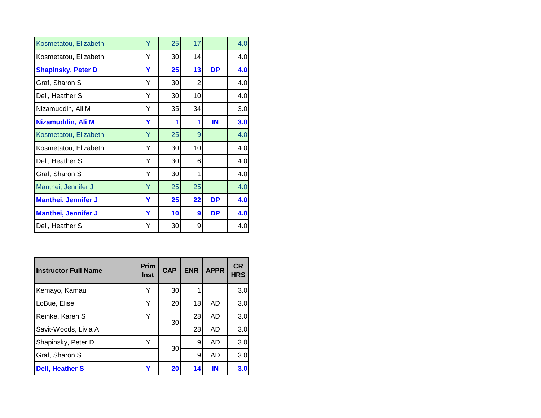| Kosmetatou, Elizabeth      | Y | 25 | 17              |           | 4.0 |
|----------------------------|---|----|-----------------|-----------|-----|
| Kosmetatou, Elizabeth      | Y | 30 | 14              |           | 4.0 |
| <b>Shapinsky, Peter D</b>  | Y | 25 | 13              | <b>DP</b> | 4.0 |
| Graf, Sharon S             | Y | 30 | 2               |           | 4.0 |
| Dell, Heather S            | Y | 30 | 10 <sub>l</sub> |           | 4.0 |
| Nizamuddin, Ali M          | Y | 35 | 34              |           | 3.0 |
| Nizamuddin, Ali M          | Y | 1  | 1               | IN        | 3.0 |
| Kosmetatou, Elizabeth      | Y | 25 | 9               |           | 4.0 |
| Kosmetatou, Elizabeth      | Y | 30 | 10              |           | 4.0 |
| Dell, Heather S            | Y | 30 | 6               |           | 4.0 |
| Graf, Sharon S             | Y | 30 | 1               |           | 4.0 |
| Manthei, Jennifer J        | Y | 25 | 25              |           | 4.0 |
| <b>Manthei, Jennifer J</b> | Y | 25 | 22              | <b>DP</b> | 4.0 |
| <b>Manthei, Jennifer J</b> | Y | 10 | 9               | <b>DP</b> | 4.0 |
| Dell, Heather S            | Υ | 30 | 9               |           | 4.0 |

| <b>Instructor Full Name</b> | <b>Prim</b><br><b>Inst</b> | <b>CAP</b> | <b>ENR</b> | <b>APPR</b> | <b>CR</b><br><b>HRS</b> |
|-----------------------------|----------------------------|------------|------------|-------------|-------------------------|
| Kemayo, Kamau               | Υ                          | 30         | 1          |             | 3.0                     |
| LoBue, Elise                | Υ                          | 20         | 18         | AD          | 3.0                     |
| Reinke, Karen S             | Υ                          | 30         | 28         | AD          | 3.0                     |
| Savit-Woods, Livia A        |                            |            | 28         | AD          | 3.0                     |
| Shapinsky, Peter D          | Y                          | 30         | 9          | AD          | 3.0                     |
| Graf, Sharon S              |                            |            | 9          | AD          | 3.0                     |
| <b>Dell, Heather S</b>      | Y                          | 20         | 14         | IN          | 3.0                     |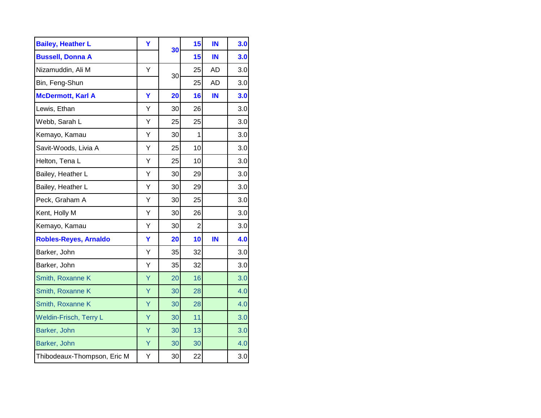| <b>Bailey, Heather L</b>     | Y | 30 | 15             | IN        | 3.0 |
|------------------------------|---|----|----------------|-----------|-----|
| <b>Bussell, Donna A</b>      |   |    | 15             | IN        | 3.0 |
| Nizamuddin, Ali M            | Υ | 30 | 25             | <b>AD</b> | 3.0 |
| Bin, Feng-Shun               |   |    | 25             | <b>AD</b> | 3.0 |
| <b>McDermott, Karl A</b>     | Ÿ | 20 | 16             | IN        | 3.0 |
| Lewis, Ethan                 | Υ | 30 | 26             |           | 3.0 |
| Webb, Sarah L                | Υ | 25 | 25             |           | 3.0 |
| Kemayo, Kamau                | Υ | 30 | 1              |           | 3.0 |
| Savit-Woods, Livia A         | Υ | 25 | 10             |           | 3.0 |
| Helton, Tena L               | Υ | 25 | 10             |           | 3.0 |
| Bailey, Heather L            | Υ | 30 | 29             |           | 3.0 |
| Bailey, Heather L            | Υ | 30 | 29             |           | 3.0 |
| Peck, Graham A               | Y | 30 | 25             |           | 3.0 |
| Kent, Holly M                | Y | 30 | 26             |           | 3.0 |
| Kemayo, Kamau                | Υ | 30 | $\overline{2}$ |           | 3.0 |
| <b>Robles-Reyes, Arnaldo</b> | Ÿ | 20 | 10             | IN        | 4.0 |
| Barker, John                 | Y | 35 | 32             |           | 3.0 |
| Barker, John                 | Y | 35 | 32             |           | 3.0 |
| Smith, Roxanne K             | Ÿ | 20 | 16             |           | 3.0 |
| Smith, Roxanne K             | Ÿ | 30 | 28             |           | 4.0 |
| Smith, Roxanne K             | Ÿ | 30 | 28             |           | 4.0 |
| Weldin-Frisch, Terry L       | Ÿ | 30 | 11             |           | 3.0 |
| Barker, John                 | Ÿ | 30 | 13             |           | 3.0 |
| Barker, John                 | Y | 30 | 30             |           | 4.0 |
| Thibodeaux-Thompson, Eric M  | Υ | 30 | 22             |           | 3.0 |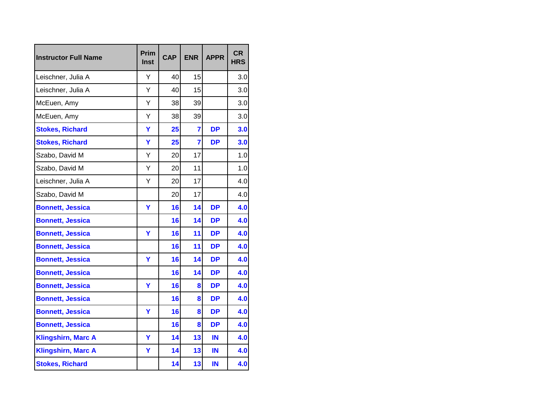| <b>Instructor Full Name</b> | Prim<br>Inst | <b>CAP</b> | <b>ENR</b>              | <b>APPR</b> | <b>CR</b><br><b>HRS</b> |
|-----------------------------|--------------|------------|-------------------------|-------------|-------------------------|
| Leischner, Julia A          | Y            | 40         | 15                      |             | 3.0                     |
| Leischner, Julia A          | Y            | 40         | 15                      |             | 3.0                     |
| McEuen, Amy                 | Υ            | 38         | 39                      |             | 3.0                     |
| McEuen, Amy                 | Υ            | 38         | 39                      |             | 3.0                     |
| <b>Stokes, Richard</b>      | Ÿ            | 25         | $\overline{\mathbf{r}}$ | <b>DP</b>   | 3.0                     |
| <b>Stokes, Richard</b>      | Y            | 25         | $\overline{7}$          | <b>DP</b>   | 3.0                     |
| Szabo, David M              | Y            | 20         | 17                      |             | 1.0                     |
| Szabo, David M              | Υ            | 20         | 11                      |             | 1.0                     |
| Leischner, Julia A          | Y            | 20         | 17                      |             | 4.0                     |
| Szabo, David M              |              | 20         | 17                      |             | 4.0                     |
| <b>Bonnett, Jessica</b>     | Ÿ            | 16         | 14                      | <b>DP</b>   | 4.0                     |
| <b>Bonnett, Jessica</b>     |              | 16         | 14                      | <b>DP</b>   | 4.0                     |
| <b>Bonnett, Jessica</b>     | Y            | 16         | 11                      | <b>DP</b>   | 4.0                     |
| <b>Bonnett, Jessica</b>     |              | 16         | 11                      | <b>DP</b>   | 4.0                     |
| <b>Bonnett, Jessica</b>     | Y            | 16         | 14                      | <b>DP</b>   | 4.0                     |
| <b>Bonnett, Jessica</b>     |              | 16         | 14                      | <b>DP</b>   | 4.0                     |
| <b>Bonnett, Jessica</b>     | Ÿ            | 16         | 8                       | <b>DP</b>   | 4.0                     |
| <b>Bonnett, Jessica</b>     |              | 16         | 8                       | <b>DP</b>   | 4.0                     |
| <b>Bonnett, Jessica</b>     | Ÿ            | 16         | 8                       | <b>DP</b>   | 4.0                     |
| <b>Bonnett, Jessica</b>     |              | 16         | 8                       | <b>DP</b>   | 4.0                     |
| <b>Klingshirn, Marc A</b>   | Ÿ            | 14         | 13                      | IN          | 4.0                     |
| <b>Klingshirn, Marc A</b>   | Ÿ            | 14         | 13                      | IN          | 4.0                     |
| <b>Stokes, Richard</b>      |              | 14         | 13                      | IN          | 4.0                     |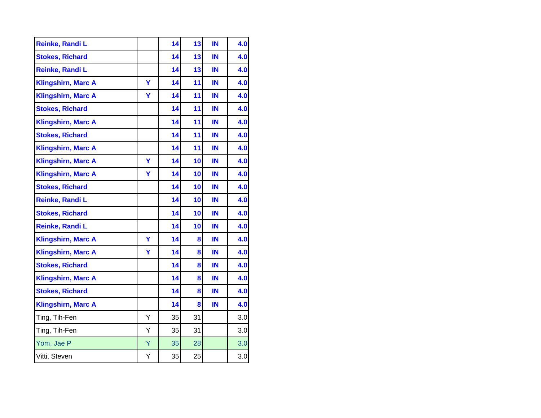| Reinke, Randi L           |   | 14 | 13 | IN | 4.0 |
|---------------------------|---|----|----|----|-----|
| <b>Stokes, Richard</b>    |   | 14 | 13 | IN | 4.0 |
| Reinke, Randi L           |   | 14 | 13 | IN | 4.0 |
| <b>Klingshirn, Marc A</b> | Ÿ | 14 | 11 | IN | 4.0 |
| <b>Klingshirn, Marc A</b> | Ÿ | 14 | 11 | IN | 4.0 |
| <b>Stokes, Richard</b>    |   | 14 | 11 | IN | 4.0 |
| <b>Klingshirn, Marc A</b> |   | 14 | 11 | IN | 4.0 |
| <b>Stokes, Richard</b>    |   | 14 | 11 | IN | 4.0 |
| <b>Klingshirn, Marc A</b> |   | 14 | 11 | IN | 4.0 |
| <b>Klingshirn, Marc A</b> | Y | 14 | 10 | IN | 4.0 |
| <b>Klingshirn, Marc A</b> | Y | 14 | 10 | IN | 4.0 |
| <b>Stokes, Richard</b>    |   | 14 | 10 | IN | 4.0 |
| Reinke, Randi L           |   | 14 | 10 | IN | 4.0 |
| <b>Stokes, Richard</b>    |   | 14 | 10 | IN | 4.0 |
| Reinke, Randi L           |   | 14 | 10 | IN | 4.0 |
| <b>Klingshirn, Marc A</b> | Y | 14 | 8  | IN | 4.0 |
| <b>Klingshirn, Marc A</b> | Y | 14 | 8  | IN | 4.0 |
| <b>Stokes, Richard</b>    |   | 14 | 8  | IN | 4.0 |
| <b>Klingshirn, Marc A</b> |   | 14 | 8  | IN | 4.0 |
| <b>Stokes, Richard</b>    |   | 14 | 8  | IN | 4.0 |
| <b>Klingshirn, Marc A</b> |   | 14 | 8  | IN | 4.0 |
| Ting, Tih-Fen             | Υ | 35 | 31 |    | 3.0 |
| Ting, Tih-Fen             | Υ | 35 | 31 |    | 3.0 |
| Yom, Jae P                | Y | 35 | 28 |    | 3.0 |
| Vitti, Steven             | Υ | 35 | 25 |    | 3.0 |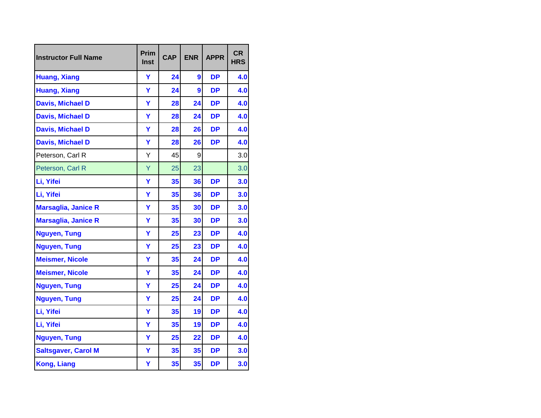| <b>Instructor Full Name</b> | Prim<br><b>Inst</b> | <b>CAP</b> | <b>ENR</b> | <b>APPR</b> | <b>CR</b><br><b>HRS</b> |
|-----------------------------|---------------------|------------|------------|-------------|-------------------------|
| <b>Huang, Xiang</b>         | Y                   | 24         | 9          | <b>DP</b>   | 4.0                     |
| <b>Huang, Xiang</b>         | Ÿ                   | 24         | 9          | <b>DP</b>   | 4.0                     |
| <b>Davis, Michael D</b>     | Y                   | 28         | 24         | <b>DP</b>   | 4.0                     |
| <b>Davis, Michael D</b>     | Y                   | 28         | 24         | <b>DP</b>   | 4.0                     |
| <b>Davis, Michael D</b>     | Y                   | 28         | 26         | <b>DP</b>   | 4.0                     |
| <b>Davis, Michael D</b>     | Y                   | 28         | 26         | <b>DP</b>   | 4.0                     |
| Peterson, Carl R            | Υ                   | 45         | 9          |             | 3.0                     |
| Peterson, Carl R            | Y                   | 25         | 23         |             | 3.0                     |
| Li, Yifei                   | Y                   | 35         | 36         | <b>DP</b>   | 3.0                     |
| Li, Yifei                   | Y                   | 35         | 36         | <b>DP</b>   | 3.0                     |
| <b>Marsaglia, Janice R</b>  | Ÿ                   | 35         | 30         | <b>DP</b>   | 3.0                     |
| <b>Marsaglia, Janice R</b>  | Y                   | 35         | 30         | <b>DP</b>   | 3.0                     |
| <b>Nguyen, Tung</b>         | Y                   | 25         | 23         | <b>DP</b>   | 4.0                     |
| <b>Nguyen, Tung</b>         | Y                   | 25         | 23         | <b>DP</b>   | 4.0                     |
| <b>Meismer, Nicole</b>      | Y                   | 35         | 24         | <b>DP</b>   | 4.0                     |
| <b>Meismer, Nicole</b>      | Y                   | 35         | 24         | <b>DP</b>   | 4.0                     |
| <b>Nguyen, Tung</b>         | Ÿ                   | 25         | 24         | <b>DP</b>   | 4.0                     |
| <b>Nguyen, Tung</b>         | Y                   | 25         | 24         | <b>DP</b>   | 4.0                     |
| Li, Yifei                   | Ÿ                   | 35         | 19         | <b>DP</b>   | 4.0                     |
| Li, Yifei                   | Ÿ                   | 35         | 19         | <b>DP</b>   | 4.0                     |
| <b>Nguyen, Tung</b>         | Ÿ                   | 25         | 22         | <b>DP</b>   | 4.0                     |
| <b>Saltsgaver, Carol M</b>  | Ÿ                   | 35         | 35         | <b>DP</b>   | 3.0                     |
| <b>Kong, Liang</b>          | Y                   | 35         | 35         | <b>DP</b>   | 3.0                     |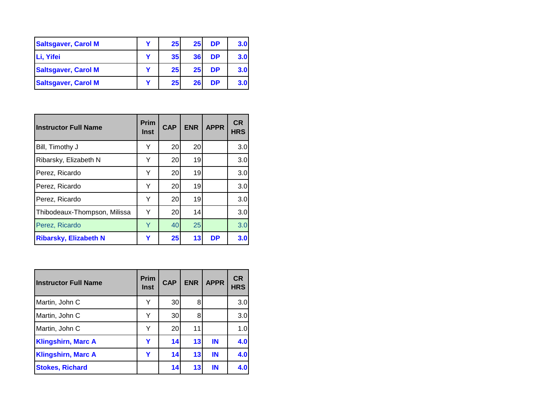| <b>Saltsgaver, Carol M</b> | v | 25 <sub>1</sub> | 25 | <b>DP</b> | 3.0 |
|----------------------------|---|-----------------|----|-----------|-----|
| Li, Yifei                  |   | 35 <sub>l</sub> | 36 | <b>DP</b> | 3.0 |
| <b>Saltsgaver, Carol M</b> | v | 25              | 25 | DP        | 3.0 |
| <b>Saltsgaver, Carol M</b> |   | 25              | 26 | <b>DP</b> | 3.0 |

| <b>Instructor Full Name</b>  | <b>Prim</b><br><b>Inst</b> | <b>CAP</b> | <b>ENR</b>      | <b>APPR</b> | <b>CR</b><br><b>HRS</b> |
|------------------------------|----------------------------|------------|-----------------|-------------|-------------------------|
| Bill, Timothy J              | Y                          | 20         | 20              |             | 3.0                     |
| Ribarsky, Elizabeth N        | Y                          | 20         | 19              |             | 3.0                     |
| Perez, Ricardo               | Y                          | 20         | 19 <sup>1</sup> |             | 3.0                     |
| Perez, Ricardo               | Y                          | 20         | 19              |             | 3.0                     |
| Perez, Ricardo               | Y                          | 20         | 19              |             | 3.0                     |
| Thibodeaux-Thompson, Milissa | Y                          | 20         | 14              |             | 3.0                     |
| Perez, Ricardo               | Y                          | 40         | 25              |             | 3.0                     |
| <b>Ribarsky, Elizabeth N</b> | Υ                          | 25         | 13              | <b>DP</b>   | 3.0                     |

| <b>Instructor Full Name</b> | <b>Prim</b><br><b>Inst</b> | <b>CAP</b> | <b>ENR</b> | <b>APPR</b> | <b>CR</b><br><b>HRS</b> |
|-----------------------------|----------------------------|------------|------------|-------------|-------------------------|
| Martin, John C              | Y                          | 30         | 8          |             | 3.0                     |
| Martin, John C              | Y                          | <b>30</b>  | 8          |             | 3.0                     |
| Martin, John C              | Y                          | <b>20</b>  | 11         |             | 1.0                     |
| <b>Klingshirn, Marc A</b>   | Y                          | 14         | 13         | <b>IN</b>   | 4.0                     |
| <b>Klingshirn, Marc A</b>   | Y                          | 14         | 13         | IN          | 4.0                     |
| <b>Stokes, Richard</b>      |                            | 14         | 13         | IN          | 4.0                     |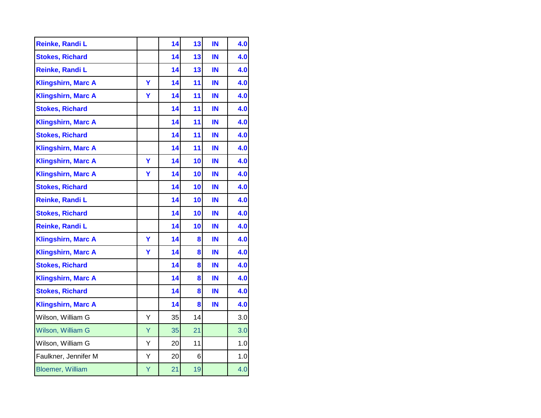|   | 14 | 13 | IN | 4.0 |
|---|----|----|----|-----|
|   | 14 | 13 | IN | 4.0 |
|   | 14 | 13 | IN | 4.0 |
| Y | 14 | 11 | IN | 4.0 |
| Ÿ | 14 | 11 | IN | 4.0 |
|   | 14 | 11 | IN | 4.0 |
|   | 14 | 11 | IN | 4.0 |
|   | 14 | 11 | IN | 4.0 |
|   | 14 | 11 | IN | 4.0 |
| Y | 14 | 10 | IN | 4.0 |
| Ÿ | 14 | 10 | IN | 4.0 |
|   | 14 | 10 | IN | 4.0 |
|   | 14 | 10 | IN | 4.0 |
|   | 14 | 10 | IN | 4.0 |
|   | 14 | 10 | IN | 4.0 |
| Y | 14 | 8  | IN | 4.0 |
| Y | 14 | 8  | IN | 4.0 |
|   | 14 | 8  | IN | 4.0 |
|   | 14 | 8  | IN | 4.0 |
|   | 14 | 8  | IN | 4.0 |
|   | 14 | 8  | IN | 4.0 |
| Y | 35 | 14 |    | 3.0 |
| Ÿ | 35 | 21 |    | 3.0 |
| Y | 20 | 11 |    | 1.0 |
| Υ | 20 | 6  |    | 1.0 |
| Υ | 21 | 19 |    | 4.0 |
|   |    |    |    |     |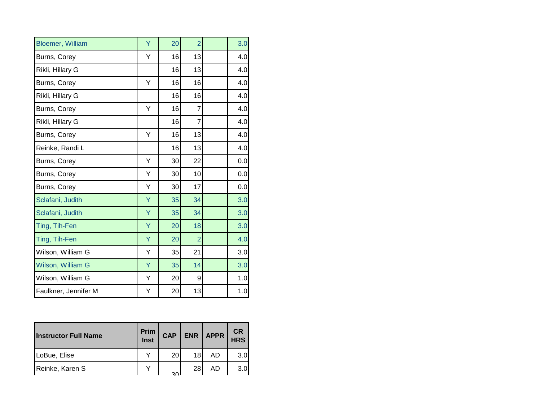| <b>Bloemer, William</b> | Ÿ | 20 | $\overline{2}$ | 3.0 |
|-------------------------|---|----|----------------|-----|
| Burns, Corey            | Y | 16 | 13             | 4.0 |
| Rikli, Hillary G        |   | 16 | 13             | 4.0 |
| Burns, Corey            | Υ | 16 | 16             | 4.0 |
| Rikli, Hillary G        |   | 16 | 16             | 4.0 |
| Burns, Corey            | Υ | 16 | 7              | 4.0 |
| Rikli, Hillary G        |   | 16 | 7              | 4.0 |
| Burns, Corey            | Υ | 16 | 13             | 4.0 |
| Reinke, Randi L         |   | 16 | 13             | 4.0 |
| Burns, Corey            | Y | 30 | 22             | 0.0 |
| Burns, Corey            | Υ | 30 | 10             | 0.0 |
| Burns, Corey            | Υ | 30 | 17             | 0.0 |
| Sclafani, Judith        | Y | 35 | 34             | 3.0 |
| Sclafani, Judith        | Y | 35 | 34             | 3.0 |
| Ting, Tih-Fen           | Y | 20 | 18             | 3.0 |
| Ting, Tih-Fen           | Ÿ | 20 | $\overline{2}$ | 4.0 |
| Wilson, William G       | Υ | 35 | 21             | 3.0 |
| Wilson, William G       | Ÿ | 35 | 14             | 3.0 |
| Wilson, William G       | Υ | 20 | 9              | 1.0 |
| Faulkner, Jennifer M    | Y | 20 | 13             | 1.0 |

| <b>Instructor Full Name</b> | Prim<br>Inst | <b>CAP</b> |    | ENR   APPR | <b>CR</b><br><b>HRS</b> |
|-----------------------------|--------------|------------|----|------------|-------------------------|
| LoBue, Elise                | $\checkmark$ | 20         | 18 | AD         | 3.0                     |
| Reinke, Karen S             | $\checkmark$ | 30         | 28 | AD         | 3.0                     |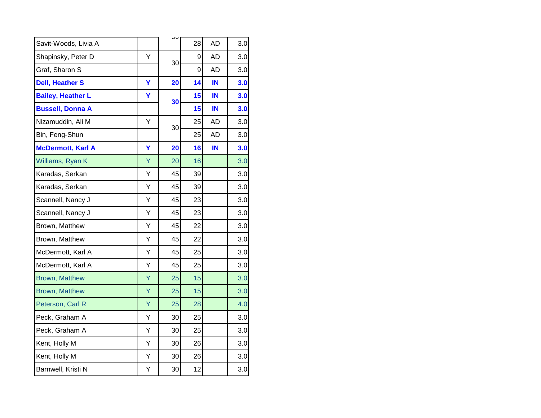|   |    | 28             | <b>AD</b> | 3.0 |
|---|----|----------------|-----------|-----|
| Y |    | 9              | <b>AD</b> | 3.0 |
|   |    | 9              | <b>AD</b> | 3.0 |
| Y | 20 | 14             | IN        | 3.0 |
| Υ |    | 15             | IN        | 3.0 |
|   |    | 15             | IN        | 3.0 |
| Υ |    | 25             | AD        | 3.0 |
|   |    | 25             | <b>AD</b> | 3.0 |
| Ÿ | 20 | 16             | IN        | 3.0 |
| Ÿ | 20 | 16             |           | 3.0 |
| Υ | 45 | 39             |           | 3.0 |
| Υ | 45 | 39             |           | 3.0 |
| Υ | 45 | 23             |           | 3.0 |
| Y | 45 | 23             |           | 3.0 |
| Y | 45 | 22             |           | 3.0 |
| Y | 45 | 22             |           | 3.0 |
| Y | 45 | 25             |           | 3.0 |
| Υ | 45 | 25             |           | 3.0 |
| Υ | 25 | 15             |           | 3.0 |
| Ÿ | 25 | 15             |           | 3.0 |
| Ÿ | 25 | 28             |           | 4.0 |
| Y | 30 | 25             |           | 3.0 |
| Y | 30 | 25             |           | 3.0 |
| Υ | 30 | 26             |           | 3.0 |
| Υ | 30 | 26             |           | 3.0 |
| Υ | 30 | 12             |           | 3.0 |
|   |    | 30<br>30<br>30 |           |     |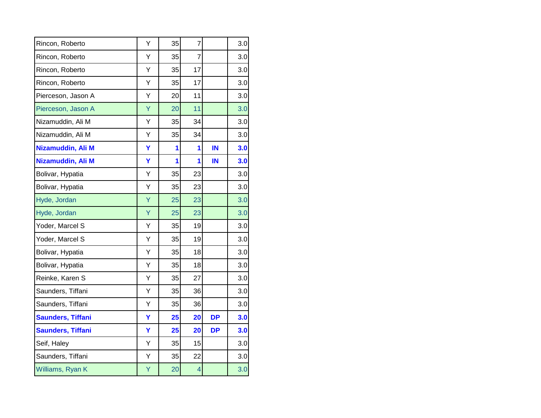| Rincon, Roberto          | Υ | 35 | $\overline{7}$          |           | 3.0 |
|--------------------------|---|----|-------------------------|-----------|-----|
| Rincon, Roberto          | Υ | 35 | $\overline{7}$          |           | 3.0 |
| Rincon, Roberto          | Υ | 35 | 17                      |           | 3.0 |
| Rincon, Roberto          | Υ | 35 | 17                      |           | 3.0 |
| Pierceson, Jason A       | Y | 20 | 11                      |           | 3.0 |
| Pierceson, Jason A       | Ÿ | 20 | 11                      |           | 3.0 |
| Nizamuddin, Ali M        | Υ | 35 | 34                      |           | 3.0 |
| Nizamuddin, Ali M        | Υ | 35 | 34                      |           | 3.0 |
| Nizamuddin, Ali M        | Y | 1  | 1                       | IN        | 3.0 |
| Nizamuddin, Ali M        | Y | 1  | 1                       | IN        | 3.0 |
| Bolivar, Hypatia         | Υ | 35 | 23                      |           | 3.0 |
| Bolivar, Hypatia         | Υ | 35 | 23                      |           | 3.0 |
| Hyde, Jordan             | Ÿ | 25 | 23                      |           | 3.0 |
| Hyde, Jordan             | Ÿ | 25 | 23                      |           | 3.0 |
| Yoder, Marcel S          | Y | 35 | 19                      |           | 3.0 |
| Yoder, Marcel S          | Y | 35 | 19                      |           | 3.0 |
| Bolivar, Hypatia         | Υ | 35 | 18                      |           | 3.0 |
| Bolivar, Hypatia         | Υ | 35 | 18                      |           | 3.0 |
| Reinke, Karen S          | Υ | 35 | 27                      |           | 3.0 |
| Saunders, Tiffani        | Υ | 35 | 36                      |           | 3.0 |
| Saunders, Tiffani        | Υ | 35 | 36                      |           | 3.0 |
| <b>Saunders, Tiffani</b> | Y | 25 | 20                      | <b>DP</b> | 3.0 |
| <b>Saunders, Tiffani</b> | Ÿ | 25 | 20                      | <b>DP</b> | 3.0 |
| Seif, Haley              | Υ | 35 | 15                      |           | 3.0 |
| Saunders, Tiffani        | Y | 35 | 22                      |           | 3.0 |
| Williams, Ryan K         | Υ | 20 | $\overline{\mathbf{4}}$ |           | 3.0 |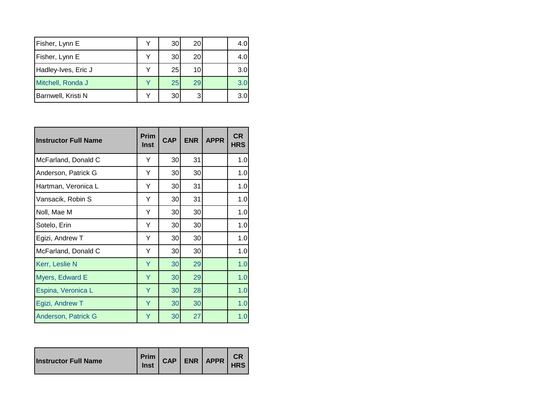| Fisher, Lynn E      | v | 30 | 20              | 4.0 |
|---------------------|---|----|-----------------|-----|
| Fisher, Lynn E      |   | 30 | 20              | 4.0 |
| Hadley-Ives, Eric J | v | 25 | 10 <sub>l</sub> | 3.0 |
| Mitchell, Ronda J   |   | 25 | 29              | 3.0 |
| Barnwell, Kristi N  |   | 30 |                 | 3.0 |

| <b>Instructor Full Name</b> | Prim<br>Inst | <b>CAP</b> | <b>ENR</b> | <b>APPR</b> | <b>CR</b><br><b>HRS</b> |
|-----------------------------|--------------|------------|------------|-------------|-------------------------|
| McFarland, Donald C         | Y            | 30         | 31         |             | 1.0                     |
| Anderson, Patrick G         | Y            | 30         | 30         |             | 1.0                     |
| Hartman, Veronica L         | Y            | 30         | 31         |             | 1.0                     |
| Vansacik, Robin S           | Y            | 30         | 31         |             | 1.0                     |
| Noll, Mae M                 | Y            | 30         | 30         |             | 1.0                     |
| Sotelo, Erin                | Y            | 30         | 30         |             | 1.0                     |
| Egizi, Andrew T             | Y            | 30         | 30         |             | 1.0                     |
| McFarland, Donald C         | Y            | 30         | 30         |             | 1.0                     |
| Kerr, Leslie N              | Ÿ            | 30         | 29         |             | 1.0                     |
| Myers, Edward E             | Ÿ            | 30         | 29         |             | 1.0                     |
| Espina, Veronica L          | Υ            | 30         | 28         |             | 1.0                     |
| Egizi, Andrew T             | Ÿ            | 30         | 30         |             | 1.0                     |
| Anderson, Patrick G         | Υ            | 30         | 27         |             | 1.0                     |

| <b>Instructor Full Name</b> | Inst |  |  | Prim CAP ENR APPR | СR<br><b>HRS</b> |
|-----------------------------|------|--|--|-------------------|------------------|
|-----------------------------|------|--|--|-------------------|------------------|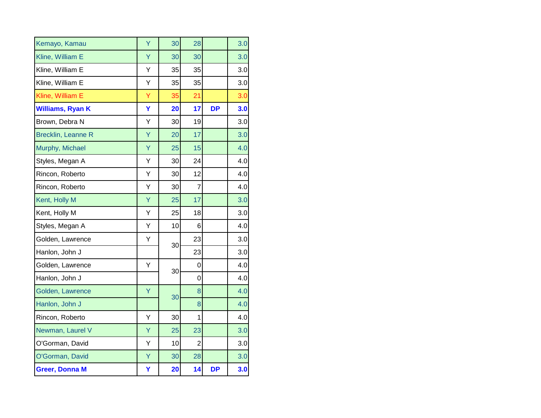| Kemayo, Kamau             | Ÿ | 30 | 28             |           | 3.0 |
|---------------------------|---|----|----------------|-----------|-----|
| Kline, William E          | Ÿ | 30 | 30             |           | 3.0 |
| Kline, William E          | Υ | 35 | 35             |           | 3.0 |
| Kline, William E          | Υ | 35 | 35             |           | 3.0 |
| Kline, William E          | Ÿ | 35 | 21             |           | 3.0 |
| <b>Williams, Ryan K</b>   | Y | 20 | 17             | <b>DP</b> | 3.0 |
| Brown, Debra N            | Y | 30 | 19             |           | 3.0 |
| <b>Brecklin, Leanne R</b> | Ÿ | 20 | 17             |           | 3.0 |
| Murphy, Michael           | Ÿ | 25 | 15             |           | 4.0 |
| Styles, Megan A           | Υ | 30 | 24             |           | 4.0 |
| Rincon, Roberto           | Υ | 30 | 12             |           | 4.0 |
| Rincon, Roberto           | Υ | 30 | 7              |           | 4.0 |
| Kent, Holly M             | Ÿ | 25 | 17             |           | 3.0 |
| Kent, Holly M             | Υ | 25 | 18             |           | 3.0 |
| Styles, Megan A           | Υ | 10 | 6              |           | 4.0 |
| Golden, Lawrence          | Υ | 30 | 23             |           | 3.0 |
| Hanlon, John J            |   |    | 23             |           | 3.0 |
| Golden, Lawrence          | Y | 30 | 0              |           | 4.0 |
| Hanlon, John J            |   |    | 0              |           | 4.0 |
| Golden, Lawrence          | Ÿ | 30 | 8              |           | 4.0 |
| Hanlon, John J            |   |    | 8              |           | 4.0 |
| Rincon, Roberto           | Υ | 30 | 1              |           | 4.0 |
| Newman, Laurel V          | Ÿ | 25 | 23             |           | 3.0 |
| O'Gorman, David           | Y | 10 | $\overline{c}$ |           | 3.0 |
| O'Gorman, David           | Ÿ | 30 | 28             |           | 3.0 |
| <b>Greer, Donna M</b>     | Y | 20 | 14             | <b>DP</b> | 3.0 |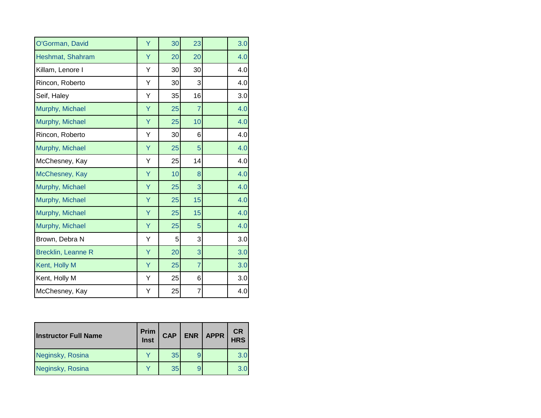| O'Gorman, David           | Ÿ | 30 | 23             | 3.0 |
|---------------------------|---|----|----------------|-----|
| Heshmat, Shahram          | Υ | 20 | 20             | 4.0 |
| Killam, Lenore I          | Υ | 30 | 30             | 4.0 |
| Rincon, Roberto           | Υ | 30 | 3              | 4.0 |
| Seif, Haley               | Υ | 35 | 16             | 3.0 |
| Murphy, Michael           | Υ | 25 | $\overline{7}$ | 4.0 |
| Murphy, Michael           | Υ | 25 | 10             | 4.0 |
| Rincon, Roberto           | Υ | 30 | 6              | 4.0 |
| Murphy, Michael           | Ÿ | 25 | 5              | 4.0 |
| McChesney, Kay            | Υ | 25 | 14             | 4.0 |
| McChesney, Kay            | Υ | 10 | 8              | 4.0 |
| Murphy, Michael           | Ÿ | 25 | 3              | 4.0 |
| Murphy, Michael           | Y | 25 | 15             | 4.0 |
| Murphy, Michael           | Υ | 25 | 15             | 4.0 |
| Murphy, Michael           | Y | 25 | 5              | 4.0 |
| Brown, Debra N            | Υ | 5  | 3              | 3.0 |
| <b>Brecklin, Leanne R</b> | Ÿ | 20 | 3              | 3.0 |
| Kent, Holly M             | Y | 25 | $\overline{7}$ | 3.0 |
| Kent, Holly M             | Υ | 25 | 6              | 3.0 |
| McChesney, Kay            | Υ | 25 | $\overline{7}$ | 4.0 |

| <b>Instructor Full Name</b> | <b>Prim</b><br>Inst | <b>CAP</b> | ENR | <b>APPR</b> | <b>CR</b><br><b>HRS</b> |
|-----------------------------|---------------------|------------|-----|-------------|-------------------------|
| Neginsky, Rosina            |                     | 35         |     |             | 3.0                     |
| Neginsky, Rosina            |                     | 35         |     |             | 3.0                     |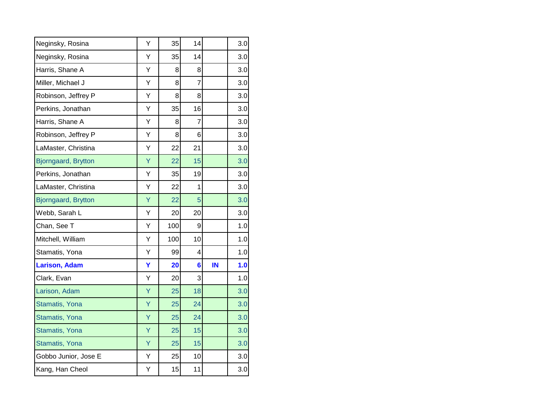| Neginsky, Rosina      | Υ | 35  | 14             |    | 3.0 |
|-----------------------|---|-----|----------------|----|-----|
| Neginsky, Rosina      | Υ | 35  | 14             |    | 3.0 |
| Harris, Shane A       | Υ | 8   | 8              |    | 3.0 |
| Miller, Michael J     | Υ | 8   | 7              |    | 3.0 |
| Robinson, Jeffrey P   | Υ | 8   | 8              |    | 3.0 |
| Perkins, Jonathan     | Υ | 35  | 16             |    | 3.0 |
| Harris, Shane A       | Υ | 8   | $\overline{7}$ |    | 3.0 |
| Robinson, Jeffrey P   | Y | 8   | 6              |    | 3.0 |
| LaMaster, Christina   | Υ | 22  | 21             |    | 3.0 |
| Bjorngaard, Brytton   | Ÿ | 22  | 15             |    | 3.0 |
| Perkins, Jonathan     | Υ | 35  | 19             |    | 3.0 |
| LaMaster, Christina   | Υ | 22  | 1              |    | 3.0 |
| Bjorngaard, Brytton   | Ÿ | 22  | 5              |    | 3.0 |
| Webb, Sarah L         | Υ | 20  | 20             |    | 3.0 |
| Chan, See T           | Y | 100 | 9              |    | 1.0 |
| Mitchell, William     | Y | 100 | 10             |    | 1.0 |
| Stamatis, Yona        | Υ | 99  | 4              |    | 1.0 |
| <b>Larison, Adam</b>  | Ÿ | 20  | $6\phantom{a}$ | IN | 1.0 |
| Clark, Evan           | Υ | 20  | 3              |    | 1.0 |
| Larison, Adam         | Ÿ | 25  | 18             |    | 3.0 |
| Stamatis, Yona        | Ÿ | 25  | 24             |    | 3.0 |
| Stamatis, Yona        | Ÿ | 25  | 24             |    | 3.0 |
| <b>Stamatis, Yona</b> | Ÿ | 25  | 15             |    | 3.0 |
| Stamatis, Yona        | Ÿ | 25  | 15             |    | 3.0 |
| Gobbo Junior, Jose E  | Υ | 25  | 10             |    | 3.0 |
| Kang, Han Cheol       | Υ | 15  | 11             |    | 3.0 |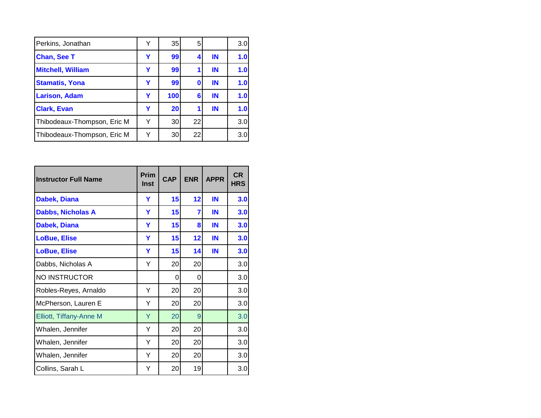| Perkins, Jonathan           | v | 35  | 5  |    | 3.0 |
|-----------------------------|---|-----|----|----|-----|
| <b>Chan, See T</b>          | Y | 99  |    | IN | 1.0 |
| <b>Mitchell, William</b>    | Y | 99  |    | IN | 1.0 |
| <b>Stamatis, Yona</b>       | Υ | 99  | 0  | IN | 1.0 |
| <b>Larison, Adam</b>        | Y | 100 | 6  | IN | 1.0 |
| <b>Clark, Evan</b>          | Y | 20  |    | IN | 1.0 |
| Thibodeaux-Thompson, Eric M | Y | 30  | 22 |    | 3.0 |
| Thibodeaux-Thompson, Eric M | Y | 30  | 22 |    | 3.0 |

| <b>Instructor Full Name</b>    | Prim<br>Inst | <b>CAP</b> | <b>ENR</b> | <b>APPR</b> | <b>CR</b><br><b>HRS</b> |
|--------------------------------|--------------|------------|------------|-------------|-------------------------|
| <b>Dabek, Diana</b>            | Y            | 15         | 12         | IN          | 3.0                     |
| <b>Dabbs, Nicholas A</b>       | Y            | 15         | 7          | IN          | 3.0                     |
| Dabek, Diana                   | Y            | 15         | 8          | IN          | 3.0                     |
| <b>LoBue, Elise</b>            | Y            | 15         | 12         | IN          | 3.0                     |
| <b>LoBue, Elise</b>            | Y            | 15         | 14         | IN          | 3.0                     |
| Dabbs, Nicholas A              | Υ            | 20         | 20         |             | 3.0                     |
| <b>NO INSTRUCTOR</b>           |              | 0          | 0          |             | 3.0                     |
| Robles-Reyes, Arnaldo          | Y            | 20         | 20         |             | 3.0                     |
| McPherson, Lauren E            | Υ            | 20         | 20         |             | 3.0                     |
| <b>Elliott, Tiffany-Anne M</b> | Υ            | 20         | 9          |             | 3.0                     |
| Whalen, Jennifer               | Y            | 20         | 20         |             | 3.0                     |
| Whalen, Jennifer               | Υ            | 20         | 20         |             | 3.0                     |
| Whalen, Jennifer               | Υ            | 20         | 20         |             | 3.0                     |
| Collins, Sarah L               | Y            | 20         | 19         |             | 3.0                     |